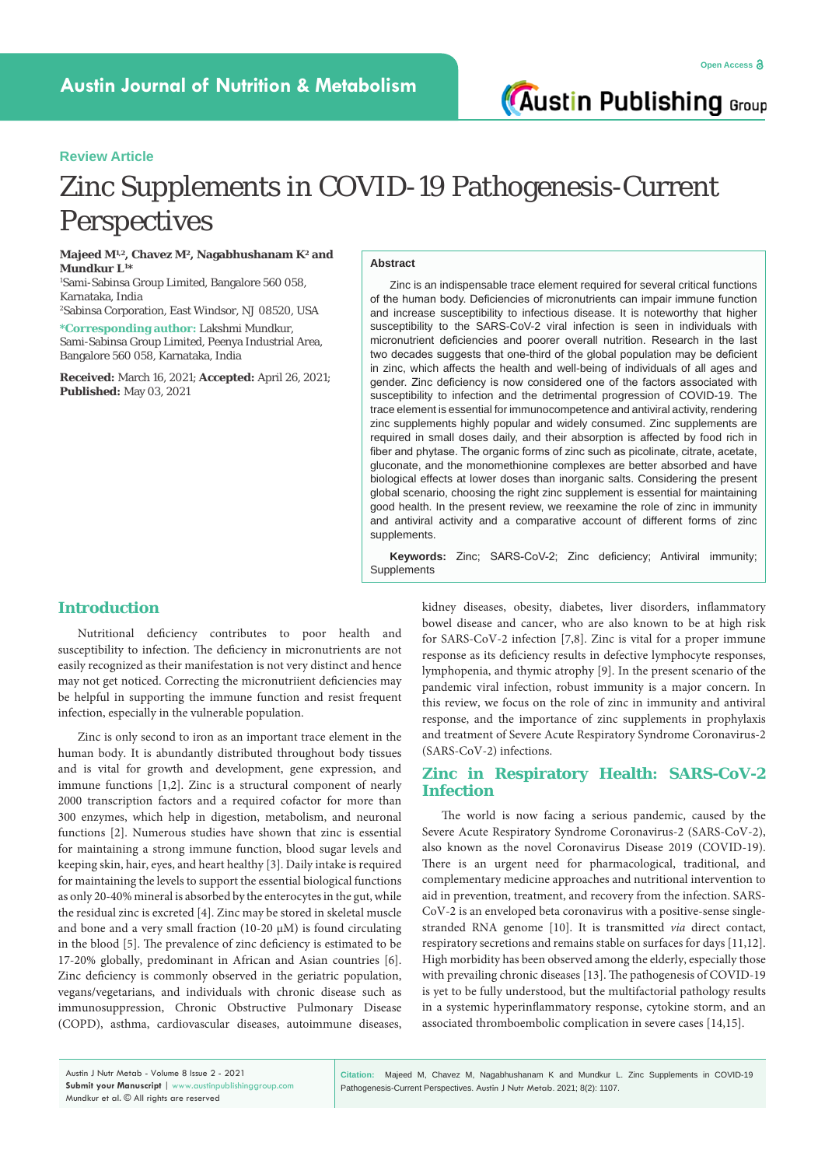**Austin Publishing Group** 

# **Review Article**

# Zinc Supplements in COVID-19 Pathogenesis-Current Perspectives

**Majeed M1,2, Chavez M2, Nagabhushanam K2 and Mundkur L1 \***

1 Sami-Sabinsa Group Limited, Bangalore 560 058, Karnataka, India

2 Sabinsa Corporation, East Windsor, NJ 08520, USA **\*Corresponding author:** Lakshmi Mundkur,

Sami-Sabinsa Group Limited, Peenya Industrial Area, Bangalore 560 058, Karnataka, India

**Received:** March 16, 2021; **Accepted:** April 26, 2021; **Published:** May 03, 2021

#### **Abstract**

Zinc is an indispensable trace element required for several critical functions of the human body. Deficiencies of micronutrients can impair immune function and increase susceptibility to infectious disease. It is noteworthy that higher susceptibility to the SARS-CoV-2 viral infection is seen in individuals with micronutrient deficiencies and poorer overall nutrition. Research in the last two decades suggests that one-third of the global population may be deficient in zinc, which affects the health and well-being of individuals of all ages and gender. Zinc deficiency is now considered one of the factors associated with susceptibility to infection and the detrimental progression of COVID-19. The trace element is essential for immunocompetence and antiviral activity, rendering zinc supplements highly popular and widely consumed. Zinc supplements are required in small doses daily, and their absorption is affected by food rich in fiber and phytase. The organic forms of zinc such as picolinate, citrate, acetate, gluconate, and the monomethionine complexes are better absorbed and have biological effects at lower doses than inorganic salts. Considering the present global scenario, choosing the right zinc supplement is essential for maintaining good health. In the present review, we reexamine the role of zinc in immunity and antiviral activity and a comparative account of different forms of zinc supplements.

**Keywords:** Zinc; SARS-CoV-2; Zinc deficiency; Antiviral immunity; Supplements

# **Introduction**

Nutritional deficiency contributes to poor health and susceptibility to infection. The deficiency in micronutrients are not easily recognized as their manifestation is not very distinct and hence may not get noticed. Correcting the micronutriient deficiencies may be helpful in supporting the immune function and resist frequent infection, especially in the vulnerable population.

Zinc is only second to iron as an important trace element in the human body. It is abundantly distributed throughout body tissues and is vital for growth and development, gene expression, and immune functions [1,2]. Zinc is a structural component of nearly 2000 transcription factors and a required cofactor for more than 300 enzymes, which help in digestion, metabolism, and neuronal functions [2]. Numerous studies have shown that zinc is essential for maintaining a strong immune function, blood sugar levels and keeping skin, hair, eyes, and heart healthy [3]. Daily intake is required for maintaining the levels to support the essential biological functions as only 20-40% mineral is absorbed by the enterocytes in the gut, while the residual zinc is excreted [4]. Zinc may be stored in skeletal muscle and bone and a very small fraction (10-20  $\mu$ M) is found circulating in the blood [5]. The prevalence of zinc deficiency is estimated to be 17-20% globally, predominant in African and Asian countries [6]. Zinc deficiency is commonly observed in the geriatric population, vegans/vegetarians, and individuals with chronic disease such as immunosuppression, Chronic Obstructive Pulmonary Disease (COPD), asthma, cardiovascular diseases, autoimmune diseases,

kidney diseases, obesity, diabetes, liver disorders, inflammatory bowel disease and cancer, who are also known to be at high risk for SARS-CoV-2 infection [7,8]. Zinc is vital for a proper immune response as its deficiency results in defective lymphocyte responses, lymphopenia, and thymic atrophy [9]. In the present scenario of the pandemic viral infection, robust immunity is a major concern. In this review, we focus on the role of zinc in immunity and antiviral response, and the importance of zinc supplements in prophylaxis and treatment of Severe Acute Respiratory Syndrome Coronavirus-2 (SARS-CoV-2) infections.

# **Zinc in Respiratory Health: SARS-CoV-2 Infection**

The world is now facing a serious pandemic, caused by the Severe Acute Respiratory Syndrome Coronavirus-2 (SARS-CoV-2), also known as the novel Coronavirus Disease 2019 (COVID-19). There is an urgent need for pharmacological, traditional, and complementary medicine approaches and nutritional intervention to aid in prevention, treatment, and recovery from the infection. SARS-CoV-2 is an enveloped beta coronavirus with a positive-sense singlestranded RNA genome [10]. It is transmitted *via* direct contact, respiratory secretions and remains stable on surfaces for days [11,12]. High morbidity has been observed among the elderly, especially those with prevailing chronic diseases [13]. The pathogenesis of COVID-19 is yet to be fully understood, but the multifactorial pathology results in a systemic hyperinflammatory response, cytokine storm, and an associated thromboembolic complication in severe cases [14,15].

**Citation:** Majeed M, Chavez M, Nagabhushanam K and Mundkur L. Zinc Supplements in COVID-19 Pathogenesis-Current Perspectives. Austin J Nutr Metab. 2021; 8(2): 1107.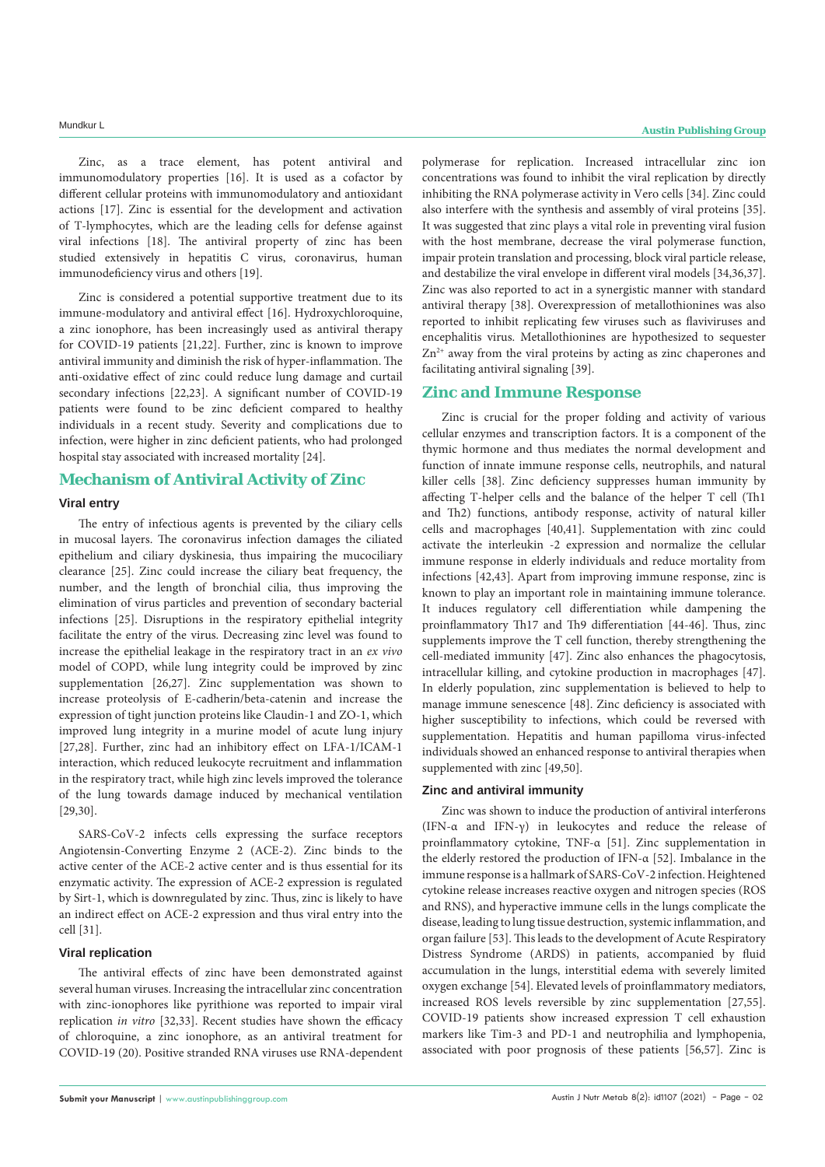Zinc, as a trace element, has potent antiviral and immunomodulatory properties [16]. It is used as a cofactor by different cellular proteins with immunomodulatory and antioxidant actions [17]. Zinc is essential for the development and activation of T-lymphocytes, which are the leading cells for defense against viral infections [18]. The antiviral property of zinc has been studied extensively in hepatitis C virus, coronavirus, human immunodeficiency virus and others [19].

Zinc is considered a potential supportive treatment due to its immune-modulatory and antiviral effect [16]. Hydroxychloroquine, a zinc ionophore, has been increasingly used as antiviral therapy for COVID-19 patients [21,22]. Further, zinc is known to improve antiviral immunity and diminish the risk of hyper-inflammation. The anti-oxidative effect of zinc could reduce lung damage and curtail secondary infections [22,23]. A significant number of COVID-19 patients were found to be zinc deficient compared to healthy individuals in a recent study. Severity and complications due to infection, were higher in zinc deficient patients, who had prolonged hospital stay associated with increased mortality [24].

# **Mechanism of Antiviral Activity of Zinc**

#### **Viral entry**

The entry of infectious agents is prevented by the ciliary cells in mucosal layers. The coronavirus infection damages the ciliated epithelium and ciliary dyskinesia, thus impairing the mucociliary clearance [25]. Zinc could increase the ciliary beat frequency, the number, and the length of bronchial cilia, thus improving the elimination of virus particles and prevention of secondary bacterial infections [25]. Disruptions in the respiratory epithelial integrity facilitate the entry of the virus. Decreasing zinc level was found to increase the epithelial leakage in the respiratory tract in an *ex vivo*  model of COPD, while lung integrity could be improved by zinc supplementation [26,27]. Zinc supplementation was shown to increase proteolysis of E-cadherin/beta-catenin and increase the expression of tight junction proteins like Claudin-1 and ZO-1, which improved lung integrity in a murine model of acute lung injury [27,28]. Further, zinc had an inhibitory effect on LFA-1/ICAM-1 interaction, which reduced leukocyte recruitment and inflammation in the respiratory tract, while high zinc levels improved the tolerance of the lung towards damage induced by mechanical ventilation [29,30].

SARS-CoV-2 infects cells expressing the surface receptors Angiotensin-Converting Enzyme 2 (ACE-2). Zinc binds to the active center of the ACE-2 active center and is thus essential for its enzymatic activity. The expression of ACE-2 expression is regulated by Sirt-1, which is downregulated by zinc. Thus, zinc is likely to have an indirect effect on ACE-2 expression and thus viral entry into the cell [31].

### **Viral replication**

The antiviral effects of zinc have been demonstrated against several human viruses. Increasing the intracellular zinc concentration with zinc-ionophores like pyrithione was reported to impair viral replication *in vitro* [32,33]. Recent studies have shown the efficacy of chloroquine, a zinc ionophore, as an antiviral treatment for COVID-19 (20). Positive stranded RNA viruses use RNA-dependent

polymerase for replication. Increased intracellular zinc ion concentrations was found to inhibit the viral replication by directly inhibiting the RNA polymerase activity in Vero cells [34]. Zinc could also interfere with the synthesis and assembly of viral proteins [35]. It was suggested that zinc plays a vital role in preventing viral fusion with the host membrane, decrease the viral polymerase function, impair protein translation and processing, block viral particle release, and destabilize the viral envelope in different viral models [34,36,37]. Zinc was also reported to act in a synergistic manner with standard antiviral therapy [38]. Overexpression of metallothionines was also reported to inhibit replicating few viruses such as flaviviruses and encephalitis virus. Metallothionines are hypothesized to sequester  $Zn^{2+}$  away from the viral proteins by acting as zinc chaperones and facilitating antiviral signaling [39].

# **Zinc and Immune Response**

Zinc is crucial for the proper folding and activity of various cellular enzymes and transcription factors. It is a component of the thymic hormone and thus mediates the normal development and function of innate immune response cells, neutrophils, and natural killer cells [38]. Zinc deficiency suppresses human immunity by affecting T-helper cells and the balance of the helper T cell (Th1 and Th2) functions, antibody response, activity of natural killer cells and macrophages [40,41]. Supplementation with zinc could activate the interleukin -2 expression and normalize the cellular immune response in elderly individuals and reduce mortality from infections [42,43]. Apart from improving immune response, zinc is known to play an important role in maintaining immune tolerance. It induces regulatory cell differentiation while dampening the proinflammatory Th17 and Th9 differentiation [44-46]. Thus, zinc supplements improve the T cell function, thereby strengthening the cell-mediated immunity [47]. Zinc also enhances the phagocytosis, intracellular killing, and cytokine production in macrophages [47]. In elderly population, zinc supplementation is believed to help to manage immune senescence [48]. Zinc deficiency is associated with higher susceptibility to infections, which could be reversed with supplementation. Hepatitis and human papilloma virus-infected individuals showed an enhanced response to antiviral therapies when supplemented with zinc [49,50].

#### **Zinc and antiviral immunity**

Zinc was shown to induce the production of antiviral interferons (IFN-α and IFN-γ) in leukocytes and reduce the release of proinflammatory cytokine, TNF-α [51]. Zinc supplementation in the elderly restored the production of IFN-α [52]. Imbalance in the immune response is a hallmark of SARS-CoV-2 infection. Heightened cytokine release increases reactive oxygen and nitrogen species (ROS and RNS), and hyperactive immune cells in the lungs complicate the disease, leading to lung tissue destruction, systemic inflammation, and organ failure [53]. This leads to the development of Acute Respiratory Distress Syndrome (ARDS) in patients, accompanied by fluid accumulation in the lungs, interstitial edema with severely limited oxygen exchange [54]. Elevated levels of proinflammatory mediators, increased ROS levels reversible by zinc supplementation [27,55]. COVID-19 patients show increased expression T cell exhaustion markers like Tim-3 and PD-1 and neutrophilia and lymphopenia, associated with poor prognosis of these patients [56,57]. Zinc is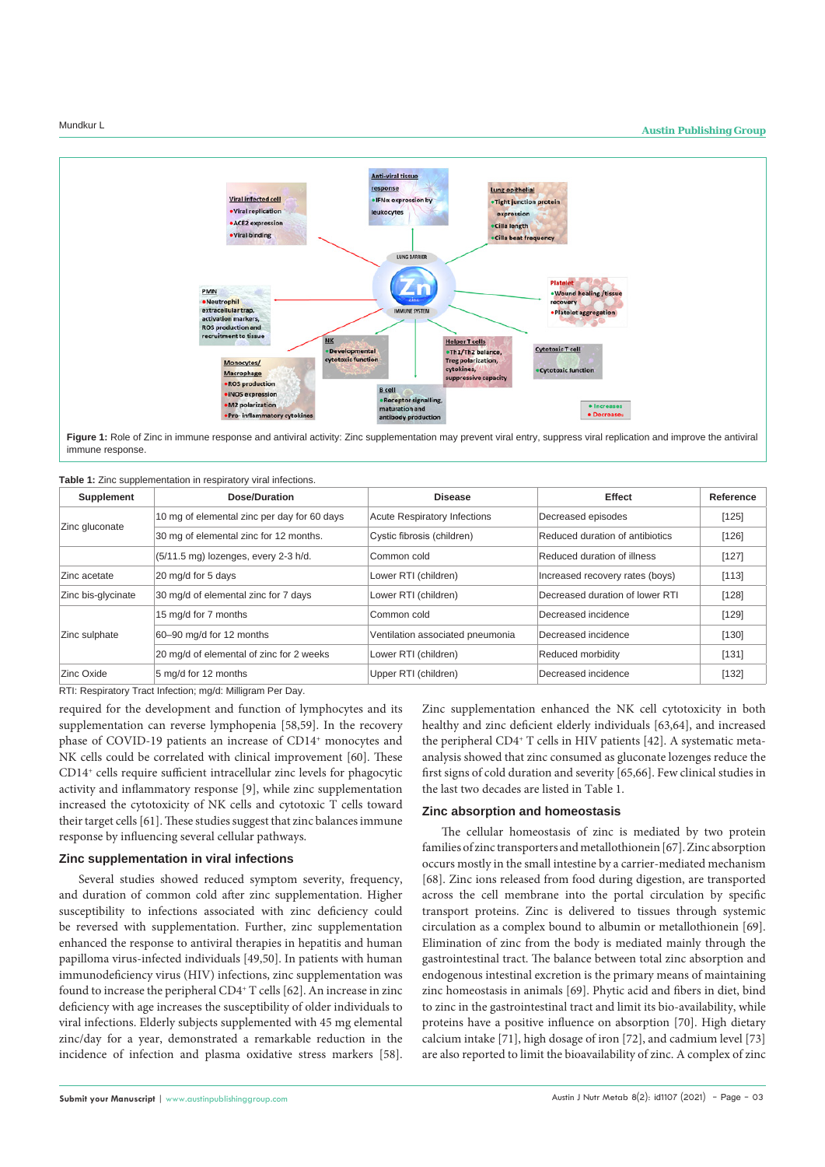

Figure 1: Role of Zinc in immune response and antiviral activity: Zinc supplementation may prevent viral entry, suppress viral replication and improve the antiviral immune response.

**Table 1:** Zinc supplementation in respiratory viral infections.

| <b>Supplement</b>  | Dose/Duration                               | <b>Disease</b>                      | <b>Effect</b>                   | Reference |
|--------------------|---------------------------------------------|-------------------------------------|---------------------------------|-----------|
| Zinc gluconate     | 10 mg of elemental zinc per day for 60 days | <b>Acute Respiratory Infections</b> | Decreased episodes              | [125]     |
|                    | 30 mg of elemental zinc for 12 months.      | Cystic fibrosis (children)          | Reduced duration of antibiotics | [126]     |
|                    | (5/11.5 mg) lozenges, every 2-3 h/d.        | Common cold                         | Reduced duration of illness     | [127]     |
| Zinc acetate       | 20 mg/d for 5 days                          | Lower RTI (children)                | Increased recovery rates (boys) | [113]     |
| Zinc bis-glycinate | 30 mg/d of elemental zinc for 7 days        | Lower RTI (children)                | Decreased duration of lower RTI | [128]     |
| Zinc sulphate      | 15 mg/d for 7 months                        | Common cold                         | Decreased incidence             | [129]     |
|                    | 60-90 mg/d for 12 months                    | Ventilation associated pneumonia    | Decreased incidence             | [130]     |
|                    | 20 mg/d of elemental of zinc for 2 weeks    | Lower RTI (children)                | Reduced morbidity               | [131]     |
| Zinc Oxide         | 5 mg/d for 12 months                        | Upper RTI (children)                | Decreased incidence             | [132]     |

RTI: Respiratory Tract Infection; mg/d: Milligram Per Day.

required for the development and function of lymphocytes and its supplementation can reverse lymphopenia [58,59]. In the recovery phase of COVID-19 patients an increase of CD14<sup>+</sup> monocytes and NK cells could be correlated with clinical improvement [60]. These CD14+ cells require sufficient intracellular zinc levels for phagocytic activity and inflammatory response [9], while zinc supplementation increased the cytotoxicity of NK cells and cytotoxic T cells toward their target cells [61]. These studies suggest that zinc balances immune response by influencing several cellular pathways.

#### **Zinc supplementation in viral infections**

Several studies showed reduced symptom severity, frequency, and duration of common cold after zinc supplementation. Higher susceptibility to infections associated with zinc deficiency could be reversed with supplementation. Further, zinc supplementation enhanced the response to antiviral therapies in hepatitis and human papilloma virus-infected individuals [49,50]. In patients with human immunodeficiency virus (HIV) infections, zinc supplementation was found to increase the peripheral CD4<sup>+</sup> T cells [62]. An increase in zinc deficiency with age increases the susceptibility of older individuals to viral infections. Elderly subjects supplemented with 45 mg elemental zinc/day for a year, demonstrated a remarkable reduction in the incidence of infection and plasma oxidative stress markers [58]. Zinc supplementation enhanced the NK cell cytotoxicity in both healthy and zinc deficient elderly individuals [63,64], and increased the peripheral CD4+ T cells in HIV patients [42]. A systematic metaanalysis showed that zinc consumed as gluconate lozenges reduce the first signs of cold duration and severity [65,66]. Few clinical studies in the last two decades are listed in Table 1.

#### **Zinc absorption and homeostasis**

The cellular homeostasis of zinc is mediated by two protein families of zinc transporters and metallothionein [67]. Zinc absorption occurs mostly in the small intestine by a carrier-mediated mechanism [68]. Zinc ions released from food during digestion, are transported across the cell membrane into the portal circulation by specific transport proteins. Zinc is delivered to tissues through systemic circulation as a complex bound to albumin or metallothionein [69]. Elimination of zinc from the body is mediated mainly through the gastrointestinal tract. The balance between total zinc absorption and endogenous intestinal excretion is the primary means of maintaining zinc homeostasis in animals [69]. Phytic acid and fibers in diet, bind to zinc in the gastrointestinal tract and limit its bio-availability, while proteins have a positive influence on absorption [70]. High dietary calcium intake [71], high dosage of iron [72], and cadmium level [73] are also reported to limit the bioavailability of zinc. A complex of zinc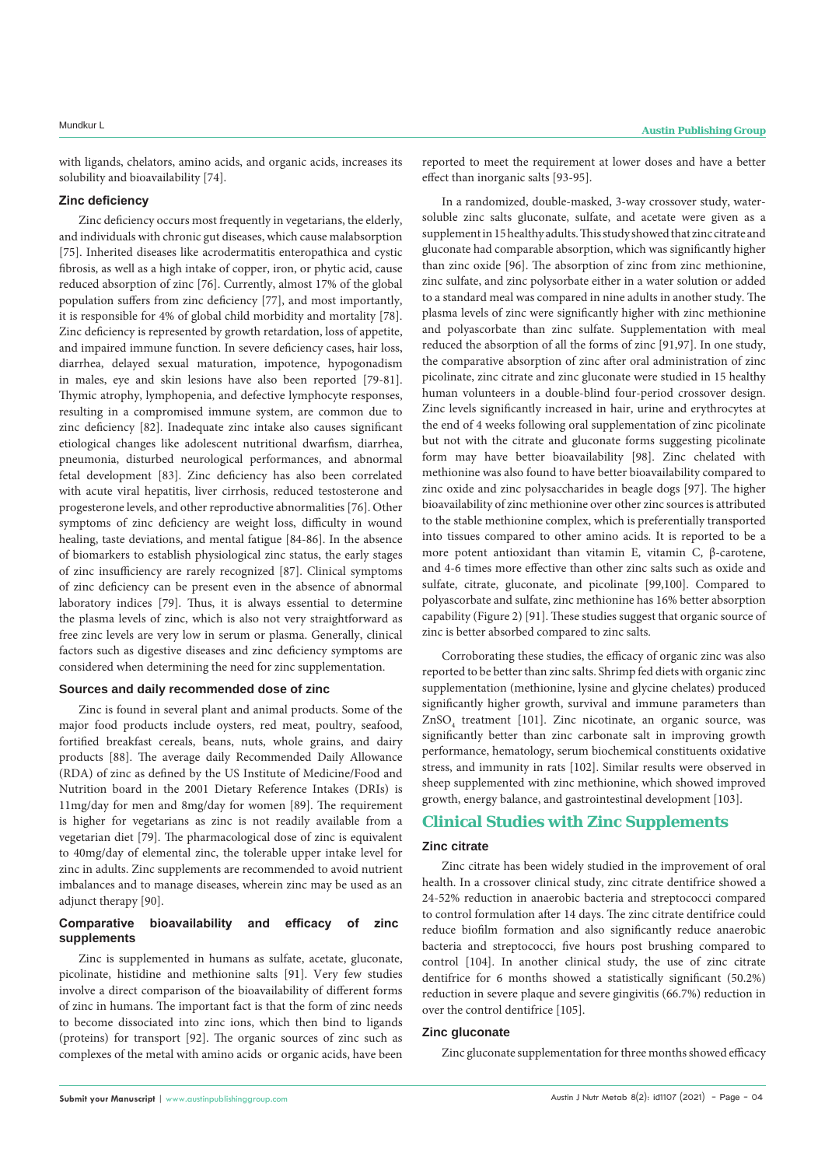with ligands, chelators, amino acids, and organic acids, increases its solubility and bioavailability [74].

#### **Zinc deficiency**

Zinc deficiency occurs most frequently in vegetarians, the elderly, and individuals with chronic gut diseases, which cause malabsorption [75]. Inherited diseases like acrodermatitis enteropathica and cystic fibrosis, as well as a high intake of copper, iron, or phytic acid, cause reduced absorption of zinc [76]. Currently, almost 17% of the global population suffers from zinc deficiency [77], and most importantly, it is responsible for 4% of global child morbidity and mortality [78]. Zinc deficiency is represented by growth retardation, loss of appetite, and impaired immune function. In severe deficiency cases, hair loss, diarrhea, delayed sexual maturation, impotence, hypogonadism in males, eye and skin lesions have also been reported [79-81]. Thymic atrophy, lymphopenia, and defective lymphocyte responses, resulting in a compromised immune system, are common due to zinc deficiency [82]. Inadequate zinc intake also causes significant etiological changes like adolescent nutritional dwarfism, diarrhea, pneumonia, disturbed neurological performances, and abnormal fetal development [83]. Zinc deficiency has also been correlated with acute viral hepatitis, liver cirrhosis, reduced testosterone and progesterone levels, and other reproductive abnormalities [76]. Other symptoms of zinc deficiency are weight loss, difficulty in wound healing, taste deviations, and mental fatigue [84-86]. In the absence of biomarkers to establish physiological zinc status, the early stages of zinc insufficiency are rarely recognized [87]. Clinical symptoms of zinc deficiency can be present even in the absence of abnormal laboratory indices [79]. Thus, it is always essential to determine the plasma levels of zinc, which is also not very straightforward as free zinc levels are very low in serum or plasma. Generally, clinical factors such as digestive diseases and zinc deficiency symptoms are considered when determining the need for zinc supplementation.

# **Sources and daily recommended dose of zinc**

Zinc is found in several plant and animal products. Some of the major food products include oysters, red meat, poultry, seafood, fortified breakfast cereals, beans, nuts, whole grains, and dairy products [88]. The average daily Recommended Daily Allowance (RDA) of zinc as defined by the US Institute of Medicine/Food and Nutrition board in the 2001 Dietary Reference Intakes (DRIs) is 11mg/day for men and 8mg/day for women [89]. The requirement is higher for vegetarians as zinc is not readily available from a vegetarian diet [79]. The pharmacological dose of zinc is equivalent to 40mg/day of elemental zinc, the tolerable upper intake level for zinc in adults. Zinc supplements are recommended to avoid nutrient imbalances and to manage diseases, wherein zinc may be used as an adjunct therapy [90].

### **Comparative bioavailability and efficacy of zinc supplements**

Zinc is supplemented in humans as sulfate, acetate, gluconate, picolinate, histidine and methionine salts [91]. Very few studies involve a direct comparison of the bioavailability of different forms of zinc in humans. The important fact is that the form of zinc needs to become dissociated into zinc ions, which then bind to ligands (proteins) for transport [92]. The organic sources of zinc such as complexes of the metal with amino acids or organic acids, have been

reported to meet the requirement at lower doses and have a better effect than inorganic salts [93-95].

In a randomized, double-masked, 3-way crossover study, watersoluble zinc salts gluconate, sulfate, and acetate were given as a supplement in 15 healthy adults. This study showed that zinc citrate and gluconate had comparable absorption, which was significantly higher than zinc oxide [96]. The absorption of zinc from zinc methionine, zinc sulfate, and zinc polysorbate either in a water solution or added to a standard meal was compared in nine adults in another study. The plasma levels of zinc were significantly higher with zinc methionine and polyascorbate than zinc sulfate. Supplementation with meal reduced the absorption of all the forms of zinc [91,97]. In one study, the comparative absorption of zinc after oral administration of zinc picolinate, zinc citrate and zinc gluconate were studied in 15 healthy human volunteers in a double-blind four-period crossover design. Zinc levels significantly increased in hair, urine and erythrocytes at the end of 4 weeks following oral supplementation of zinc picolinate but not with the citrate and gluconate forms suggesting picolinate form may have better bioavailability [98]. Zinc chelated with methionine was also found to have better bioavailability compared to zinc oxide and zinc polysaccharides in beagle dogs [97]. The higher bioavailability of zinc methionine over other zinc sources is attributed to the stable methionine complex, which is preferentially transported into tissues compared to other amino acids. It is reported to be a more potent antioxidant than vitamin E, vitamin C, β-carotene, and 4-6 times more effective than other zinc salts such as oxide and sulfate, citrate, gluconate, and picolinate [99,100]. Compared to polyascorbate and sulfate, zinc methionine has 16% better absorption capability (Figure 2) [91]. These studies suggest that organic source of zinc is better absorbed compared to zinc salts.

Corroborating these studies, the efficacy of organic zinc was also reported to be better than zinc salts. Shrimp fed diets with organic zinc supplementation (methionine, lysine and glycine chelates) produced significantly higher growth, survival and immune parameters than ZnSO<sub>4</sub> treatment [101]. Zinc nicotinate, an organic source, was significantly better than zinc carbonate salt in improving growth performance, hematology, serum biochemical constituents oxidative stress, and immunity in rats [102]. Similar results were observed in sheep supplemented with zinc methionine, which showed improved growth, energy balance, and gastrointestinal development [103].

### **Clinical Studies with Zinc Supplements**

#### **Zinc citrate**

Zinc citrate has been widely studied in the improvement of oral health. In a crossover clinical study, zinc citrate dentifrice showed a 24-52% reduction in anaerobic bacteria and streptococci compared to control formulation after 14 days. The zinc citrate dentifrice could reduce biofilm formation and also significantly reduce anaerobic bacteria and streptococci, five hours post brushing compared to control [104]. In another clinical study, the use of zinc citrate dentifrice for 6 months showed a statistically significant (50.2%) reduction in severe plaque and severe gingivitis (66.7%) reduction in over the control dentifrice [105].

#### **Zinc gluconate**

Zinc gluconate supplementation for three months showed efficacy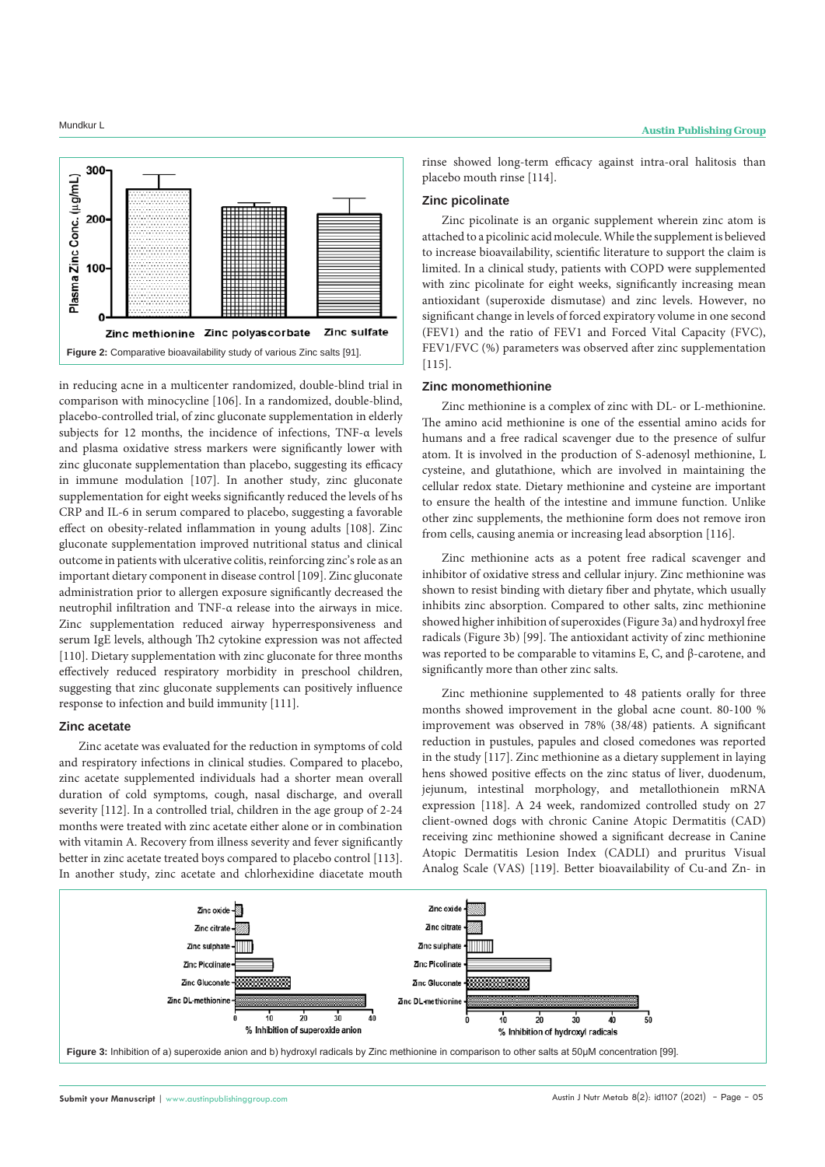

in reducing acne in a multicenter randomized, double-blind trial in comparison with minocycline [106]. In a randomized, double-blind, placebo-controlled trial, of zinc gluconate supplementation in elderly subjects for 12 months, the incidence of infections, TNF-α levels and plasma oxidative stress markers were significantly lower with zinc gluconate supplementation than placebo, suggesting its efficacy in immune modulation [107]. In another study, zinc gluconate supplementation for eight weeks significantly reduced the levels of hs CRP and IL-6 in serum compared to placebo, suggesting a favorable effect on obesity-related inflammation in young adults [108]. Zinc gluconate supplementation improved nutritional status and clinical outcome in patients with ulcerative colitis, reinforcing zinc's role as an important dietary component in disease control [109]. Zinc gluconate administration prior to allergen exposure significantly decreased the neutrophil infiltration and TNF-α release into the airways in mice. Zinc supplementation reduced airway hyperresponsiveness and serum IgE levels, although Th2 cytokine expression was not affected [110]. Dietary supplementation with zinc gluconate for three months effectively reduced respiratory morbidity in preschool children, suggesting that zinc gluconate supplements can positively influence response to infection and build immunity [111].

#### **Zinc acetate**

Zinc acetate was evaluated for the reduction in symptoms of cold and respiratory infections in clinical studies. Compared to placebo, zinc acetate supplemented individuals had a shorter mean overall duration of cold symptoms, cough, nasal discharge, and overall severity [112]. In a controlled trial, children in the age group of 2-24 months were treated with zinc acetate either alone or in combination with vitamin A. Recovery from illness severity and fever significantly better in zinc acetate treated boys compared to placebo control [113]. In another study, zinc acetate and chlorhexidine diacetate mouth rinse showed long-term efficacy against intra-oral halitosis than placebo mouth rinse [114].

#### **Zinc picolinate**

Zinc picolinate is an organic supplement wherein zinc atom is attached to a picolinic acid molecule. While the supplement is believed to increase bioavailability, scientific literature to support the claim is limited. In a clinical study, patients with COPD were supplemented with zinc picolinate for eight weeks, significantly increasing mean antioxidant (superoxide dismutase) and zinc levels. However, no significant change in levels of forced expiratory volume in one second (FEV1) and the ratio of FEV1 and Forced Vital Capacity (FVC), FEV1/FVC (%) parameters was observed after zinc supplementation [115].

#### **Zinc monomethionine**

Zinc methionine is a complex of zinc with DL- or L-methionine. The amino acid methionine is one of the essential amino acids for humans and a free radical scavenger due to the presence of sulfur atom. It is involved in the production of S-adenosyl methionine, L cysteine, and glutathione, which are involved in maintaining the cellular redox state. Dietary methionine and cysteine are important to ensure the health of the intestine and immune function. Unlike other zinc supplements, the methionine form does not remove iron from cells, causing anemia or increasing lead absorption [116].

Zinc methionine acts as a potent free radical scavenger and inhibitor of oxidative stress and cellular injury. Zinc methionine was shown to resist binding with dietary fiber and phytate, which usually inhibits zinc absorption. Compared to other salts, zinc methionine showed higher inhibition of superoxides (Figure 3a) and hydroxyl free radicals (Figure 3b) [99]. The antioxidant activity of zinc methionine was reported to be comparable to vitamins E, C, and β-carotene, and significantly more than other zinc salts.

Zinc methionine supplemented to 48 patients orally for three months showed improvement in the global acne count. 80-100 % improvement was observed in 78% (38/48) patients. A significant reduction in pustules, papules and closed comedones was reported in the study [117]. Zinc methionine as a dietary supplement in laying hens showed positive effects on the zinc status of liver, duodenum, jejunum, intestinal morphology, and metallothionein mRNA expression [118]. A 24 week, randomized controlled study on 27 client-owned dogs with chronic Canine Atopic Dermatitis (CAD) receiving zinc methionine showed a significant decrease in Canine Atopic Dermatitis Lesion Index (CADLI) and pruritus Visual Analog Scale (VAS) [119]. Better bioavailability of Cu-and Zn- in

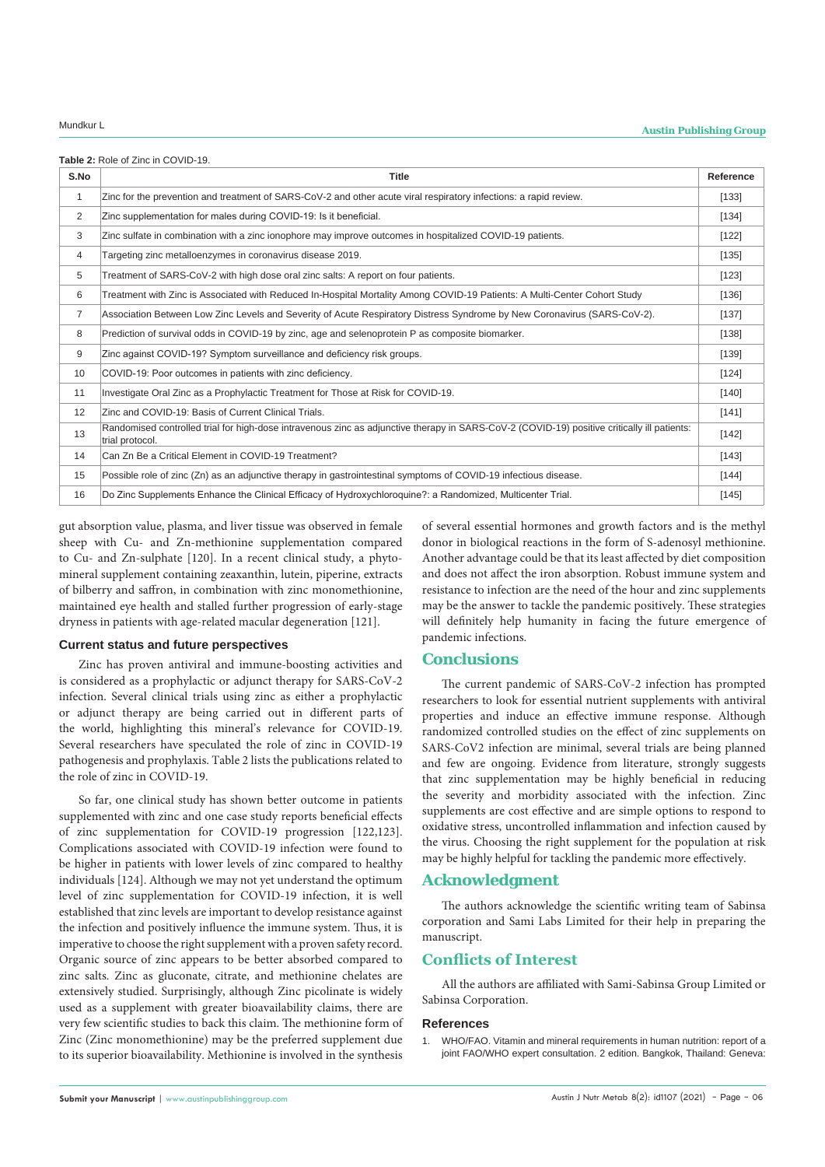|  | <b>Table 2: Role of Zinc in COVID-19.</b> |
|--|-------------------------------------------|
|--|-------------------------------------------|

| S.No           | <b>Title</b>                                                                                                                                                   | Reference |
|----------------|----------------------------------------------------------------------------------------------------------------------------------------------------------------|-----------|
| 1              | Zinc for the prevention and treatment of SARS-CoV-2 and other acute viral respiratory infections: a rapid review.                                              | [133]     |
| 2              | Zinc supplementation for males during COVID-19: Is it beneficial.                                                                                              | [134]     |
| 3              | Zinc sulfate in combination with a zinc ionophore may improve outcomes in hospitalized COVID-19 patients.                                                      | $[122]$   |
| 4              | Targeting zinc metalloenzymes in coronavirus disease 2019.                                                                                                     | [135]     |
| 5              | Treatment of SARS-CoV-2 with high dose oral zinc salts: A report on four patients.                                                                             | [123]     |
| 6              | Treatment with Zinc is Associated with Reduced In-Hospital Mortality Among COVID-19 Patients: A Multi-Center Cohort Study                                      | [136]     |
| $\overline{7}$ | Association Between Low Zinc Levels and Severity of Acute Respiratory Distress Syndrome by New Coronavirus (SARS-CoV-2).                                       | $[137]$   |
| 8              | Prediction of survival odds in COVID-19 by zinc, age and selenoprotein P as composite biomarker.                                                               | [138]     |
| 9              | Zinc against COVID-19? Symptom surveillance and deficiency risk groups.                                                                                        | [139]     |
| 10             | COVID-19: Poor outcomes in patients with zinc deficiency.                                                                                                      | [124]     |
| 11             | Investigate Oral Zinc as a Prophylactic Treatment for Those at Risk for COVID-19.                                                                              | [140]     |
| 12             | Zinc and COVID-19: Basis of Current Clinical Trials.                                                                                                           | [141]     |
| 13             | Randomised controlled trial for high-dose intravenous zinc as adjunctive therapy in SARS-CoV-2 (COVID-19) positive critically ill patients:<br>trial protocol. | $[142]$   |
| 14             | Can Zn Be a Critical Element in COVID-19 Treatment?                                                                                                            | [143]     |
| 15             | Possible role of zinc (Zn) as an adjunctive therapy in gastrointestinal symptoms of COVID-19 infectious disease.                                               | $[144]$   |
| 16             | Do Zinc Supplements Enhance the Clinical Efficacy of Hydroxychloroquine?: a Randomized, Multicenter Trial.                                                     | [145]     |

gut absorption value, plasma, and liver tissue was observed in female sheep with Cu- and Zn-methionine supplementation compared to Cu- and Zn-sulphate [120]. In a recent clinical study, a phytomineral supplement containing zeaxanthin, lutein, piperine, extracts of bilberry and saffron, in combination with zinc monomethionine, maintained eye health and stalled further progression of early-stage dryness in patients with age-related macular degeneration [121].

### **Current status and future perspectives**

Zinc has proven antiviral and immune-boosting activities and is considered as a prophylactic or adjunct therapy for SARS-CoV-2 infection. Several clinical trials using zinc as either a prophylactic or adjunct therapy are being carried out in different parts of the world, highlighting this mineral's relevance for COVID-19. Several researchers have speculated the role of zinc in COVID-19 pathogenesis and prophylaxis. Table 2 lists the publications related to the role of zinc in COVID-19.

So far, one clinical study has shown better outcome in patients supplemented with zinc and one case study reports beneficial effects of zinc supplementation for COVID-19 progression [122,123]. Complications associated with COVID-19 infection were found to be higher in patients with lower levels of zinc compared to healthy individuals [124]. Although we may not yet understand the optimum level of zinc supplementation for COVID-19 infection, it is well established that zinc levels are important to develop resistance against the infection and positively influence the immune system. Thus, it is imperative to choose the right supplement with a proven safety record. Organic source of zinc appears to be better absorbed compared to zinc salts. Zinc as gluconate, citrate, and methionine chelates are extensively studied. Surprisingly, although Zinc picolinate is widely used as a supplement with greater bioavailability claims, there are very few scientific studies to back this claim. The methionine form of Zinc (Zinc monomethionine) may be the preferred supplement due to its superior bioavailability. Methionine is involved in the synthesis of several essential hormones and growth factors and is the methyl donor in biological reactions in the form of S-adenosyl methionine. Another advantage could be that its least affected by diet composition and does not affect the iron absorption. Robust immune system and resistance to infection are the need of the hour and zinc supplements may be the answer to tackle the pandemic positively. These strategies will definitely help humanity in facing the future emergence of pandemic infections.

# **Conclusions**

The current pandemic of SARS-CoV-2 infection has prompted researchers to look for essential nutrient supplements with antiviral properties and induce an effective immune response. Although randomized controlled studies on the effect of zinc supplements on SARS-CoV2 infection are minimal, several trials are being planned and few are ongoing. Evidence from literature, strongly suggests that zinc supplementation may be highly beneficial in reducing the severity and morbidity associated with the infection. Zinc supplements are cost effective and are simple options to respond to oxidative stress, uncontrolled inflammation and infection caused by the virus. Choosing the right supplement for the population at risk may be highly helpful for tackling the pandemic more effectively.

# **Acknowledgment**

The authors acknowledge the scientific writing team of Sabinsa corporation and Sami Labs Limited for their help in preparing the manuscript.

# **Conflicts of Interest**

All the authors are affiliated with Sami-Sabinsa Group Limited or Sabinsa Corporation.

### **References**

1. [WHO/FAO. Vitamin and mineral requirements in human nutrition: report of a](http://www.fao.org/ag/humannutrition/36659-04427f866c8b2539d8e47d408cad5f3f9.pdf)  [joint FAO/WHO expert consultation. 2 edition. Bangkok, Thailand: Geneva:](http://www.fao.org/ag/humannutrition/36659-04427f866c8b2539d8e47d408cad5f3f9.pdf)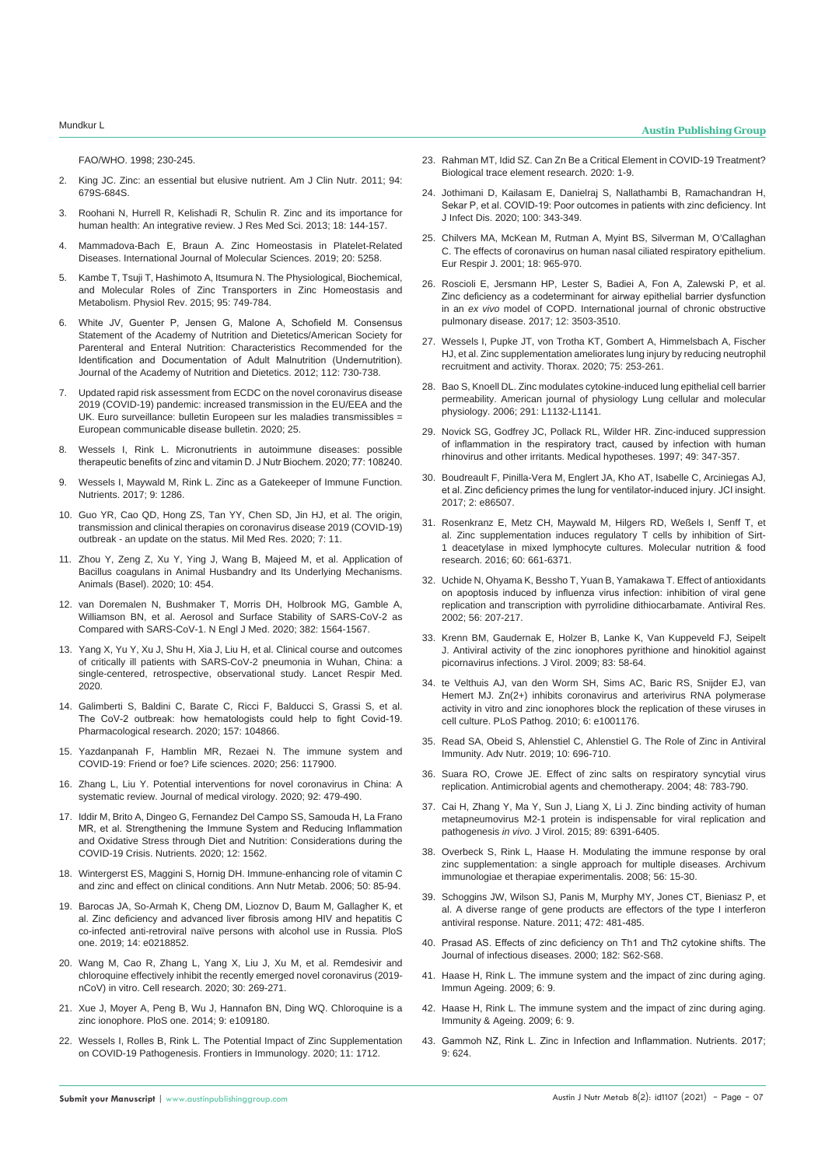[FAO/WHO. 1998; 230-245.](http://www.fao.org/ag/humannutrition/36659-04427f866c8b2539d8e47d408cad5f3f9.pdf)

- 2. [King JC. Zinc: an essential but elusive nutrient. Am J Clin Nutr. 2011; 94:](https://pubmed.ncbi.nlm.nih.gov/21715515/)  [679S-684S.](https://pubmed.ncbi.nlm.nih.gov/21715515/)
- 3. [Roohani N, Hurrell R, Kelishadi R, Schulin R. Zinc and its importance for](https://pubmed.ncbi.nlm.nih.gov/23914218/)  [human health: An integrative review. J Res Med Sci. 2013; 18: 144-157.](https://pubmed.ncbi.nlm.nih.gov/23914218/)
- 4. [Mammadova-Bach E, Braun A. Zinc Homeostasis in Platelet-Related](https://www.ncbi.nlm.nih.gov/pmc/articles/PMC6861892/)  [Diseases. International Journal of Molecular Sciences. 2019; 20: 5258.](https://www.ncbi.nlm.nih.gov/pmc/articles/PMC6861892/)
- 5. [Kambe T, Tsuji T, Hashimoto A, Itsumura N. The Physiological, Biochemical,](https://pubmed.ncbi.nlm.nih.gov/26084690/)  [and Molecular Roles of Zinc Transporters in Zinc Homeostasis and](https://pubmed.ncbi.nlm.nih.gov/26084690/)  [Metabolism. Physiol Rev. 2015; 95: 749-784.](https://pubmed.ncbi.nlm.nih.gov/26084690/)
- White JV, Guenter P, Jensen G, Malone A, Schofield M. Consensus [Statement of the Academy of Nutrition and Dietetics/American Society for](https://pubmed.ncbi.nlm.nih.gov/22709779/)  [Parenteral and Enteral Nutrition: Characteristics Recommended for the](https://pubmed.ncbi.nlm.nih.gov/22709779/)  [Identification and Documentation of Adult Malnutrition \(Undernutrition\).](https://pubmed.ncbi.nlm.nih.gov/22709779/)  [Journal of the Academy of Nutrition and Dietetics. 2012; 112: 730-738.](https://pubmed.ncbi.nlm.nih.gov/22709779/)
- Updated rapid risk assessment from ECDC on the novel coronavirus disease [2019 \(COVID-19\) pandemic: increased transmission in the EU/EEA and the](https://www.eurosurveillance.org/content/10.2807/1560-7917.ES.2020.25.10.2003121)  [UK. Euro surveillance: bulletin Europeen sur les maladies transmissibles =](https://www.eurosurveillance.org/content/10.2807/1560-7917.ES.2020.25.10.2003121)  [European communicable disease bulletin. 2020; 25.](https://www.eurosurveillance.org/content/10.2807/1560-7917.ES.2020.25.10.2003121)
- 8. [Wessels I, Rink L. Micronutrients in autoimmune diseases: possible](https://pubmed.ncbi.nlm.nih.gov/31841960/)  [therapeutic benefits of zinc and vitamin D. J Nutr Biochem. 2020; 77: 108240.](https://pubmed.ncbi.nlm.nih.gov/31841960/)
- Wessels I, Maywald M, Rink L. Zinc as a Gatekeeper of Immune Function. [Nutrients. 2017; 9: 1286.](https://pubmed.ncbi.nlm.nih.gov/29186856/)
- 10. [Guo YR, Cao QD, Hong ZS, Tan YY, Chen SD, Jin HJ, et al. The origin,](https://pubmed.ncbi.nlm.nih.gov/32169119/)  [transmission and clinical therapies on coronavirus disease 2019 \(COVID-19\)](https://pubmed.ncbi.nlm.nih.gov/32169119/)  [outbreak - an update on the status. Mil Med Res. 2020; 7: 11.](https://pubmed.ncbi.nlm.nih.gov/32169119/)
- Zhou Y, Zeng Z, Xu Y, Ying J, Wang B, Majeed M, et al. Application of [Bacillus coagulans in Animal Husbandry and Its Underlying Mechanisms.](https://pubmed.ncbi.nlm.nih.gov/32182789/)  [Animals \(Basel\). 2020; 10: 454.](https://pubmed.ncbi.nlm.nih.gov/32182789/)
- 12. [van Doremalen N, Bushmaker T, Morris DH, Holbrook MG, Gamble A,](https://pubmed.ncbi.nlm.nih.gov/32182409/)  [Williamson BN, et al. Aerosol and Surface Stability of SARS-CoV-2 as](https://pubmed.ncbi.nlm.nih.gov/32182409/)  [Compared with SARS-CoV-1. N Engl J Med. 2020; 382: 1564-1567.](https://pubmed.ncbi.nlm.nih.gov/32182409/)
- 13. [Yang X, Yu Y, Xu J, Shu H, Xia J, Liu H, et al. Clinical course and outcomes](https://www.thelancet.com/journals/lanres/article/PIIS2213-2600(20)30079-5/fulltext)  [of critically ill patients with SARS-CoV-2 pneumonia in Wuhan, China: a](https://www.thelancet.com/journals/lanres/article/PIIS2213-2600(20)30079-5/fulltext)  [single-centered, retrospective, observational study. Lancet Respir Med.](https://www.thelancet.com/journals/lanres/article/PIIS2213-2600(20)30079-5/fulltext)  [2020.](https://www.thelancet.com/journals/lanres/article/PIIS2213-2600(20)30079-5/fulltext)
- 14. [Galimberti S, Baldini C, Barate C, Ricci F, Balducci S, Grassi S, et al.](https://www.ncbi.nlm.nih.gov/pmc/articles/PMC7202852/)  [The CoV-2 outbreak: how hematologists could help to fight Covid-19.](https://www.ncbi.nlm.nih.gov/pmc/articles/PMC7202852/)  [Pharmacological research. 2020; 157: 104866.](https://www.ncbi.nlm.nih.gov/pmc/articles/PMC7202852/)
- 15. [Yazdanpanah F, Hamblin MR, Rezaei N. The immune system and](https://pubmed.ncbi.nlm.nih.gov/32502542/)  [COVID-19: Friend or foe? Life sciences. 2020; 256: 117900.](https://pubmed.ncbi.nlm.nih.gov/32502542/)
- 16. [Zhang L, Liu Y. Potential interventions for novel coronavirus in China: A](https://pubmed.ncbi.nlm.nih.gov/32052466/)  [systematic review. Journal of medical virology. 2020; 92: 479-490.](https://pubmed.ncbi.nlm.nih.gov/32052466/)
- 17. [Iddir M, Brito A, Dingeo G, Fernandez Del Campo SS, Samouda H, La Frano](https://pubmed.ncbi.nlm.nih.gov/32471251/)  [MR, et al. Strengthening the Immune System and Reducing Inflammation](https://pubmed.ncbi.nlm.nih.gov/32471251/)  [and Oxidative Stress through Diet and Nutrition: Considerations during the](https://pubmed.ncbi.nlm.nih.gov/32471251/)  [COVID-19 Crisis. Nutrients. 2020; 12: 1562.](https://pubmed.ncbi.nlm.nih.gov/32471251/)
- 18. [Wintergerst ES, Maggini S, Hornig DH. Immune-enhancing role of vitamin C](https://pubmed.ncbi.nlm.nih.gov/16373990/)  [and zinc and effect on clinical conditions. Ann Nutr Metab. 2006; 50: 85-94.](https://pubmed.ncbi.nlm.nih.gov/16373990/)
- 19. [Barocas JA, So-Armah K, Cheng DM, Lioznov D, Baum M, Gallagher K, et](https://pubmed.ncbi.nlm.nih.gov/31246992/)  [al. Zinc deficiency and advanced liver fibrosis among HIV and hepatitis C](https://pubmed.ncbi.nlm.nih.gov/31246992/)  [co-infected anti-retroviral naïve persons with alcohol use in Russia. PloS](https://pubmed.ncbi.nlm.nih.gov/31246992/)  [one. 2019; 14: e0218852.](https://pubmed.ncbi.nlm.nih.gov/31246992/)
- 20. [Wang M, Cao R, Zhang L, Yang X, Liu J, Xu M, et al. Remdesivir and](https://pubmed.ncbi.nlm.nih.gov/32020029/)  [chloroquine effectively inhibit the recently emerged novel coronavirus \(2019](https://pubmed.ncbi.nlm.nih.gov/32020029/) [nCoV\) in vitro. Cell research. 2020; 30: 269-271.](https://pubmed.ncbi.nlm.nih.gov/32020029/)
- 21. [Xue J, Moyer A, Peng B, Wu J, Hannafon BN, Ding WQ. Chloroquine is a](https://www.ncbi.nlm.nih.gov/pmc/articles/PMC4182877/)  [zinc ionophore. PloS one. 2014; 9: e109180.](https://www.ncbi.nlm.nih.gov/pmc/articles/PMC4182877/)
- 22. [Wessels I, Rolles B, Rink L. The Potential Impact of Zinc Supplementation](https://www.ncbi.nlm.nih.gov/pmc/articles/PMC7365891/)  [on COVID-19 Pathogenesis. Frontiers in Immunology. 2020; 11: 1712.](https://www.ncbi.nlm.nih.gov/pmc/articles/PMC7365891/)
- 23. [Rahman MT, Idid SZ. Can Zn Be a Critical Element in COVID-19 Treatment?](https://www.ncbi.nlm.nih.gov/pmc/articles/PMC7250542/)  [Biological trace element research. 2020: 1-9.](https://www.ncbi.nlm.nih.gov/pmc/articles/PMC7250542/)
- 24. [Jothimani D, Kailasam E, Danielraj S, Nallathambi B, Ramachandran H,](https://www.ncbi.nlm.nih.gov/pmc/articles/PMC7482607/)  [Sekar P, et al. COVID-19: Poor outcomes in patients with zinc deficiency. Int](https://www.ncbi.nlm.nih.gov/pmc/articles/PMC7482607/)  [J Infect Dis. 2020; 100: 343-349.](https://www.ncbi.nlm.nih.gov/pmc/articles/PMC7482607/)
- 25. [Chilvers MA, McKean M, Rutman A, Myint BS, Silverman M, O'Callaghan](https://pubmed.ncbi.nlm.nih.gov/11829103/)  [C. The effects of coronavirus on human nasal ciliated respiratory epithelium.](https://pubmed.ncbi.nlm.nih.gov/11829103/)  [Eur Respir J. 2001; 18: 965-970.](https://pubmed.ncbi.nlm.nih.gov/11829103/)
- 26. [Roscioli E, Jersmann HP, Lester S, Badiei A, Fon A, Zalewski P, et al.](https://www.ncbi.nlm.nih.gov/pmc/articles/PMC5723110/)  [Zinc deficiency as a codeterminant for airway epithelial barrier dysfunction](https://www.ncbi.nlm.nih.gov/pmc/articles/PMC5723110/)  in an *ex vivo* [model of COPD. International journal of chronic obstructive](https://www.ncbi.nlm.nih.gov/pmc/articles/PMC5723110/)  [pulmonary disease. 2017; 12: 3503-3510.](https://www.ncbi.nlm.nih.gov/pmc/articles/PMC5723110/)
- 27. [Wessels I, Pupke JT, von Trotha KT, Gombert A, Himmelsbach A, Fischer](https://pubmed.ncbi.nlm.nih.gov/31915307/)  [HJ, et al. Zinc supplementation ameliorates lung injury by reducing neutrophil](https://pubmed.ncbi.nlm.nih.gov/31915307/)  [recruitment and activity. Thorax. 2020; 75: 253-261.](https://pubmed.ncbi.nlm.nih.gov/31915307/)
- 28. [Bao S, Knoell DL. Zinc modulates cytokine-induced lung epithelial cell barrier](https://pubmed.ncbi.nlm.nih.gov/16844947/)  [permeability. American journal of physiology Lung cellular and molecular](https://pubmed.ncbi.nlm.nih.gov/16844947/)  [physiology. 2006; 291: L1132-L1141.](https://pubmed.ncbi.nlm.nih.gov/16844947/)
- 29. [Novick SG, Godfrey JC, Pollack RL, Wilder HR. Zinc-induced suppression](https://pubmed.ncbi.nlm.nih.gov/9352505/)  [of inflammation in the respiratory tract, caused by infection with human](https://pubmed.ncbi.nlm.nih.gov/9352505/)  [rhinovirus and other irritants. Medical hypotheses. 1997; 49: 347-357.](https://pubmed.ncbi.nlm.nih.gov/9352505/)
- 30. [Boudreault F, Pinilla-Vera M, Englert JA, Kho AT, Isabelle C, Arciniegas AJ,](https://pubmed.ncbi.nlm.nih.gov/28570269/)  [et al. Zinc deficiency primes the lung for ventilator-induced injury. JCI insight.](https://pubmed.ncbi.nlm.nih.gov/28570269/)  [2017; 2: e86507.](https://pubmed.ncbi.nlm.nih.gov/28570269/)
- 31. [Rosenkranz E, Metz CH, Maywald M, Hilgers RD, Weßels I, Senff T, et](https://pubmed.ncbi.nlm.nih.gov/26614004/)  [al. Zinc supplementation induces regulatory T cells by inhibition of Sirt-](https://pubmed.ncbi.nlm.nih.gov/26614004/)[1 deacetylase in mixed lymphocyte cultures. Molecular nutrition & food](https://pubmed.ncbi.nlm.nih.gov/26614004/)  [research. 2016; 60: 661-6371.](https://pubmed.ncbi.nlm.nih.gov/26614004/)
- 32. [Uchide N, Ohyama K, Bessho T, Yuan B, Yamakawa T. Effect of antioxidants](https://pubmed.ncbi.nlm.nih.gov/12406505/#:~:text=The antioxidant pyrrolidine dithiocarbamate (PDTC,DNA fragmentation or IV production.)  [on apoptosis induced by influenza virus infection: inhibition of viral gene](https://pubmed.ncbi.nlm.nih.gov/12406505/#:~:text=The antioxidant pyrrolidine dithiocarbamate (PDTC,DNA fragmentation or IV production.)  [replication and transcription with pyrrolidine dithiocarbamate. Antiviral Res.](https://pubmed.ncbi.nlm.nih.gov/12406505/#:~:text=The antioxidant pyrrolidine dithiocarbamate (PDTC,DNA fragmentation or IV production.)  [2002; 56: 207-217.](https://pubmed.ncbi.nlm.nih.gov/12406505/#:~:text=The antioxidant pyrrolidine dithiocarbamate (PDTC,DNA fragmentation or IV production.)
- 33. [Krenn BM, Gaudernak E, Holzer B, Lanke K, Van Kuppeveld FJ, Seipelt](https://pubmed.ncbi.nlm.nih.gov/18922875/)  [J. Antiviral activity of the zinc ionophores pyrithione and hinokitiol against](https://pubmed.ncbi.nlm.nih.gov/18922875/)  [picornavirus infections. J Virol. 2009; 83: 58-64.](https://pubmed.ncbi.nlm.nih.gov/18922875/)
- 34. [te Velthuis AJ, van den Worm SH, Sims AC, Baric RS, Snijder EJ, van](https://pubmed.ncbi.nlm.nih.gov/21079686/)  [Hemert MJ. Zn\(2+\) inhibits coronavirus and arterivirus RNA polymerase](https://pubmed.ncbi.nlm.nih.gov/21079686/)  [activity in vitro and zinc ionophores block the replication of these viruses in](https://pubmed.ncbi.nlm.nih.gov/21079686/)  [cell culture. PLoS Pathog. 2010; 6: e1001176.](https://pubmed.ncbi.nlm.nih.gov/21079686/)
- 35. [Read SA, Obeid S, Ahlenstiel C, Ahlenstiel G. The Role of Zinc in Antiviral](https://pubmed.ncbi.nlm.nih.gov/31305906/)  [Immunity. Adv Nutr. 2019; 10: 696-710.](https://pubmed.ncbi.nlm.nih.gov/31305906/)
- 36. [Suara RO, Crowe JE. Effect of zinc salts on respiratory syncytial virus](https://pubmed.ncbi.nlm.nih.gov/14982765/)  [replication. Antimicrobial agents and chemotherapy. 2004; 48: 783-790.](https://pubmed.ncbi.nlm.nih.gov/14982765/)
- 37. [Cai H, Zhang Y, Ma Y, Sun J, Liang X, Li J. Zinc binding activity of human](https://pubmed.ncbi.nlm.nih.gov/25855728/)  [metapneumovirus M2-1 protein is indispensable for viral replication and](https://pubmed.ncbi.nlm.nih.gov/25855728/)  pathogenesis *in vivo*[. J Virol. 2015; 89: 6391-6405.](https://pubmed.ncbi.nlm.nih.gov/25855728/)
- 38. [Overbeck S, Rink L, Haase H. Modulating the immune response by oral](https://pubmed.ncbi.nlm.nih.gov/18250973/)  zinc supplementation: a single approach for multiple diseases. Archivum [immunologiae et therapiae experimentalis. 2008; 56: 15-30.](https://pubmed.ncbi.nlm.nih.gov/18250973/)
- 39. [Schoggins JW, Wilson SJ, Panis M, Murphy MY, Jones CT, Bieniasz P, et](https://www.nature.com/articles/nature09907)  [al. A diverse range of gene products are effectors of the type I interferon](https://www.nature.com/articles/nature09907)  [antiviral response. Nature. 2011; 472: 481-485.](https://www.nature.com/articles/nature09907)
- 40. [Prasad AS. Effects of zinc deficiency on Th1 and Th2 cytokine shifts. The](https://pubmed.ncbi.nlm.nih.gov/10944485/#:~:text=Zinc deficiency in an experimental,not affected during zinc deficiency.)  [Journal of infectious diseases. 2000; 182: S62-S68.](https://pubmed.ncbi.nlm.nih.gov/10944485/#:~:text=Zinc deficiency in an experimental,not affected during zinc deficiency.)
- Haase H, Rink L. The immune system and the impact of zinc during aging. [Immun Ageing. 2009; 6: 9.](https://pubmed.ncbi.nlm.nih.gov/19523191/)
- 42. [Haase H, Rink L. The immune system and the impact of zinc during aging.](https://pubmed.ncbi.nlm.nih.gov/19523191/)  [Immunity & Ageing. 2009; 6: 9.](https://pubmed.ncbi.nlm.nih.gov/19523191/)
- 43. Gammoh NZ, Rink L. Zinc in Infection and Inflammation. Nutrients. 2017; 9: 624.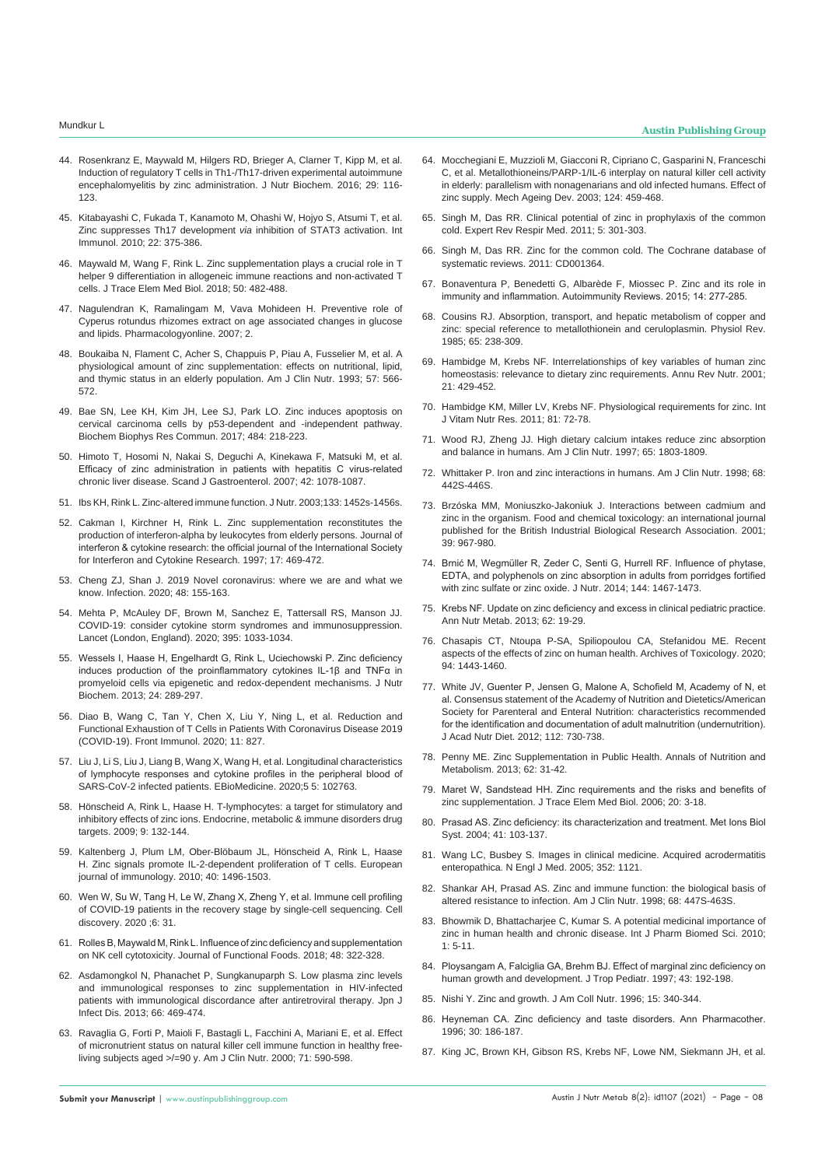- 44. [Rosenkranz E, Maywald M, Hilgers RD, Brieger A, Clarner T, Kipp M, et al.](https://pubmed.ncbi.nlm.nih.gov/26895672/)  [Induction of regulatory T cells in Th1-/Th17-driven experimental autoimmune](https://pubmed.ncbi.nlm.nih.gov/26895672/)  [encephalomyelitis by zinc administration. J Nutr Biochem. 2016; 29: 116-](https://pubmed.ncbi.nlm.nih.gov/26895672/) [123.](https://pubmed.ncbi.nlm.nih.gov/26895672/)
- 45. [Kitabayashi C, Fukada T, Kanamoto M, Ohashi W, Hojyo S, Atsumi T, et al.](https://pubmed.ncbi.nlm.nih.gov/20215335/)  [Zinc suppresses Th17 development](https://pubmed.ncbi.nlm.nih.gov/20215335/) *via* inhibition of STAT3 activation. Int [Immunol. 2010; 22: 375-386.](https://pubmed.ncbi.nlm.nih.gov/20215335/)
- 46. [Maywald M, Wang F, Rink L. Zinc supplementation plays a crucial role in T](https://pubmed.ncbi.nlm.nih.gov/29439842/#:~:text=On the one hand%2C zinc,hence triggering the immunological defense.)  [helper 9 differentiation in allogeneic immune reactions and non-activated T](https://pubmed.ncbi.nlm.nih.gov/29439842/#:~:text=On the one hand%2C zinc,hence triggering the immunological defense.)  [cells. J Trace Elem Med Biol. 2018; 50: 482-488.](https://pubmed.ncbi.nlm.nih.gov/29439842/#:~:text=On the one hand%2C zinc,hence triggering the immunological defense.)
- 47. [Nagulendran K, Ramalingam M, Vava Mohideen H. Preventive role of](https://pharmacologyonline.silae.it/files/archives/2007/vol2/31_Nagulendran.pdf)  [Cyperus rotundus rhizomes extract on age associated changes in glucose](https://pharmacologyonline.silae.it/files/archives/2007/vol2/31_Nagulendran.pdf)  [and lipids. Pharmacologyonline. 2007; 2.](https://pharmacologyonline.silae.it/files/archives/2007/vol2/31_Nagulendran.pdf)
- 48. [Boukaiba N, Flament C, Acher S, Chappuis P, Piau A, Fusselier M, et al. A](https://pubmed.ncbi.nlm.nih.gov/8460613/)  [physiological amount of zinc supplementation: effects on nutritional, lipid,](https://pubmed.ncbi.nlm.nih.gov/8460613/)  [and thymic status in an elderly population. Am J Clin Nutr. 1993; 57: 566-](https://pubmed.ncbi.nlm.nih.gov/8460613/) [572.](https://pubmed.ncbi.nlm.nih.gov/8460613/)
- 49. Bae SN, Lee KH, Kim JH, Lee SJ, Park LO. Zinc induces apoptosis on cervical carcinoma cells by p53-dependent and -independent pathway. Biochem Biophys Res Commun. 2017; 484: 218-223.
- 50. [Himoto T, Hosomi N, Nakai S, Deguchi A, Kinekawa F, Matsuki M, et al.](https://pubmed.ncbi.nlm.nih.gov/17710674/)  [Efficacy of zinc administration in patients with hepatitis C virus-related](https://pubmed.ncbi.nlm.nih.gov/17710674/)  [chronic liver disease. Scand J Gastroenterol. 2007; 42: 1078-1087.](https://pubmed.ncbi.nlm.nih.gov/17710674/)
- 51. [Ibs KH, Rink L. Zinc-altered immune function. J Nutr. 2003;133: 1452s-1456s.](https://pubmed.ncbi.nlm.nih.gov/12730441/)
- 52. [Cakman I, Kirchner H, Rink L. Zinc supplementation reconstitutes the](https://pubmed.ncbi.nlm.nih.gov/9282827/)  [production of interferon-alpha by leukocytes from elderly persons. Journal of](https://pubmed.ncbi.nlm.nih.gov/9282827/)  [interferon & cytokine research: the official journal of the International Society](https://pubmed.ncbi.nlm.nih.gov/9282827/)  [for Interferon and Cytokine Research. 1997; 17: 469-472.](https://pubmed.ncbi.nlm.nih.gov/9282827/)
- 53. [Cheng ZJ, Shan J. 2019 Novel coronavirus: where we are and what we](https://pubmed.ncbi.nlm.nih.gov/32072569/)  [know. Infection. 2020; 48: 155-163.](https://pubmed.ncbi.nlm.nih.gov/32072569/)
- 54. [Mehta P, McAuley DF, Brown M, Sanchez E, Tattersall RS, Manson JJ.](https://pubmed.ncbi.nlm.nih.gov/32192578/)  [COVID-19: consider cytokine storm syndromes and immunosuppression.](https://pubmed.ncbi.nlm.nih.gov/32192578/)  [Lancet \(London, England\). 2020; 395: 1033-1034.](https://pubmed.ncbi.nlm.nih.gov/32192578/)
- 55. [Wessels I, Haase H, Engelhardt G, Rink L, Uciechowski P. Zinc deficiency](https://pubmed.ncbi.nlm.nih.gov/22902331/)  [induces production of the proinflammatory cytokines IL-1β and TNFα in](https://pubmed.ncbi.nlm.nih.gov/22902331/)  [promyeloid cells via epigenetic and redox-dependent mechanisms. J Nutr](https://pubmed.ncbi.nlm.nih.gov/22902331/)  [Biochem. 2013; 24: 289-297.](https://pubmed.ncbi.nlm.nih.gov/22902331/)
- 56. [Diao B, Wang C, Tan Y, Chen X, Liu Y, Ning L, et al. Reduction and](https://pubmed.ncbi.nlm.nih.gov/32425950/)  [Functional Exhaustion of T Cells in Patients With Coronavirus Disease 2019](https://pubmed.ncbi.nlm.nih.gov/32425950/)  [\(COVID-19\). Front Immunol. 2020; 11: 827.](https://pubmed.ncbi.nlm.nih.gov/32425950/)
- 57. [Liu J, Li S, Liu J, Liang B, Wang X, Wang H, et al. Longitudinal characteristics](https://pubmed.ncbi.nlm.nih.gov/32361250/)  [of lymphocyte responses and cytokine profiles in the peripheral blood of](https://pubmed.ncbi.nlm.nih.gov/32361250/)  [SARS-CoV-2 infected patients. EBioMedicine. 2020;5 5: 102763.](https://pubmed.ncbi.nlm.nih.gov/32361250/)
- 58. [Hönscheid A, Rink L, Haase H. T-lymphocytes: a target for stimulatory and](https://pubmed.ncbi.nlm.nih.gov/19519463/)  [inhibitory effects of zinc ions. Endocrine, metabolic & immune disorders drug](https://pubmed.ncbi.nlm.nih.gov/19519463/)  [targets. 2009; 9: 132-144.](https://pubmed.ncbi.nlm.nih.gov/19519463/)
- 59. [Kaltenberg J, Plum LM, Ober-Blöbaum JL, Hönscheid A, Rink L, Haase](https://pubmed.ncbi.nlm.nih.gov/20201035/)  H. Zinc signals promote IL-2-dependent proliferation of T cells. European [journal of immunology. 2010; 40: 1496-1503.](https://pubmed.ncbi.nlm.nih.gov/20201035/)
- 60. [Wen W, Su W, Tang H, Le W, Zhang X, Zheng Y, et al. Immune cell profiling](https://pubmed.ncbi.nlm.nih.gov/32377375/)  [of COVID-19 patients in the recovery stage by single-cell sequencing. Cell](https://pubmed.ncbi.nlm.nih.gov/32377375/)  [discovery. 2020 ;6: 31.](https://pubmed.ncbi.nlm.nih.gov/32377375/)
- 61. [Rolles B, Maywald M, Rink L. Influence of zinc deficiency and supplementation](https://www.sciencedirect.com/science/article/abs/pii/S1756464618303621)  [on NK cell cytotoxicity. Journal of Functional Foods. 2018; 48: 322-328.](https://www.sciencedirect.com/science/article/abs/pii/S1756464618303621)
- 62. [Asdamongkol N, Phanachet P, Sungkanuparph S. Low plasma zinc levels](https://pubmed.ncbi.nlm.nih.gov/24270132/)  [and immunological responses to zinc supplementation in HIV-infected](https://pubmed.ncbi.nlm.nih.gov/24270132/)  patients with immunological discordance after antiretroviral therapy. Jpn J [Infect Dis. 2013; 66: 469-474.](https://pubmed.ncbi.nlm.nih.gov/24270132/)
- 63. [Ravaglia G, Forti P, Maioli F, Bastagli L, Facchini A, Mariani E, et al. Effect](https://pubmed.ncbi.nlm.nih.gov/10648276/)  [of micronutrient status on natural killer cell immune function in healthy free](https://pubmed.ncbi.nlm.nih.gov/10648276/)[living subjects aged >/=90 y. Am J Clin Nutr. 2000; 71: 590-598.](https://pubmed.ncbi.nlm.nih.gov/10648276/)
- 64. [Mocchegiani E, Muzzioli M, Giacconi R, Cipriano C, Gasparini N, Franceschi](https://pubmed.ncbi.nlm.nih.gov/12714254/)  [C, et al. Metallothioneins/PARP-1/IL-6 interplay on natural killer cell activity](https://pubmed.ncbi.nlm.nih.gov/12714254/)  [in elderly: parallelism with nonagenarians and old infected humans. Effect of](https://pubmed.ncbi.nlm.nih.gov/12714254/)  [zinc supply. Mech Ageing Dev. 2003; 124: 459-468.](https://pubmed.ncbi.nlm.nih.gov/12714254/)
- 65. [Singh M, Das RR. Clinical potential of zinc in prophylaxis of the common](https://pubmed.ncbi.nlm.nih.gov/21702650/)  [cold. Expert Rev Respir Med. 2011; 5: 301-303.](https://pubmed.ncbi.nlm.nih.gov/21702650/)
- 66. [Singh M, Das RR. Zinc for the common cold. The Cochrane database of](https://pubmed.ncbi.nlm.nih.gov/23775705/)  [systematic reviews. 2011: CD001364.](https://pubmed.ncbi.nlm.nih.gov/23775705/)
- 67. [Bonaventura P, Benedetti G, Albarède F, Miossec P. Zinc and its role in](https://pubmed.ncbi.nlm.nih.gov/25462582/)  [immunity and inflammation. Autoimmunity Reviews. 2015; 14: 277-285.](https://pubmed.ncbi.nlm.nih.gov/25462582/)
- 68. [Cousins RJ. Absorption, transport, and hepatic metabolism of copper and](https://pubmed.ncbi.nlm.nih.gov/3885271/)  [zinc: special reference to metallothionein and ceruloplasmin. Physiol Rev.](https://pubmed.ncbi.nlm.nih.gov/3885271/)  [1985; 65: 238-309.](https://pubmed.ncbi.nlm.nih.gov/3885271/)
- 69. [Hambidge M, Krebs NF. Interrelationships of key variables of human zinc](https://pubmed.ncbi.nlm.nih.gov/11375444/)  [homeostasis: relevance to dietary zinc requirements. Annu Rev Nutr. 2001;](https://pubmed.ncbi.nlm.nih.gov/11375444/)  [21: 429-452.](https://pubmed.ncbi.nlm.nih.gov/11375444/)
- 70. [Hambidge KM, Miller LV, Krebs NF. Physiological requirements for zinc. Int](https://www.ncbi.nlm.nih.gov/pmc/articles/PMC4495350/)  [J Vitam Nutr Res. 2011; 81: 72-78.](https://www.ncbi.nlm.nih.gov/pmc/articles/PMC4495350/)
- 71. [Wood RJ, Zheng JJ. High dietary calcium intakes reduce zinc absorption](https://pubmed.ncbi.nlm.nih.gov/9174476/)  [and balance in humans. Am J Clin Nutr. 1997; 65: 1803-1809.](https://pubmed.ncbi.nlm.nih.gov/9174476/)
- 72. [Whittaker P. Iron and zinc interactions in humans. Am J Clin Nutr. 1998; 68:](https://pubmed.ncbi.nlm.nih.gov/9701159/)  [442S-446S.](https://pubmed.ncbi.nlm.nih.gov/9701159/)
- 73. [Brzóska MM, Moniuszko-Jakoniuk J. Interactions between cadmium and](https://pubmed.ncbi.nlm.nih.gov/11524135/)  [zinc in the organism. Food and chemical toxicology: an international journal](https://pubmed.ncbi.nlm.nih.gov/11524135/)  [published for the British Industrial Biological Research Association. 2001;](https://pubmed.ncbi.nlm.nih.gov/11524135/)  [39: 967-980.](https://pubmed.ncbi.nlm.nih.gov/11524135/)
- 74. [Brnić M, Wegmüller R, Zeder C, Senti G, Hurrell RF. Influence of phytase,](https://pubmed.ncbi.nlm.nih.gov/24966411/)  [EDTA, and polyphenols on zinc absorption in adults from porridges fortified](https://pubmed.ncbi.nlm.nih.gov/24966411/)  [with zinc sulfate or zinc oxide. J Nutr. 2014; 144: 1467-1473.](https://pubmed.ncbi.nlm.nih.gov/24966411/)
- 75. [Krebs NF. Update on zinc deficiency and excess in clinical pediatric practice.](https://pubmed.ncbi.nlm.nih.gov/23689110/)  [Ann Nutr Metab. 2013; 62: 19-29.](https://pubmed.ncbi.nlm.nih.gov/23689110/)
- 76. [Chasapis CT, Ntoupa P-SA, Spiliopoulou CA, Stefanidou ME. Recent](https://pubmed.ncbi.nlm.nih.gov/32394086/)  [aspects of the effects of zinc on human health. Archives of Toxicology. 2020;](https://pubmed.ncbi.nlm.nih.gov/32394086/)  [94: 1443-1460.](https://pubmed.ncbi.nlm.nih.gov/32394086/)
- 77. [White JV, Guenter P, Jensen G, Malone A, Schofield M, Academy of N, et](https://pubmed.ncbi.nlm.nih.gov/22709779/)  [al. Consensus statement of the Academy of Nutrition and Dietetics/American](https://pubmed.ncbi.nlm.nih.gov/22709779/)  [Society for Parenteral and Enteral Nutrition: characteristics recommended](https://pubmed.ncbi.nlm.nih.gov/22709779/)  [for the identification and documentation of adult malnutrition \(undernutrition\).](https://pubmed.ncbi.nlm.nih.gov/22709779/)  [J Acad Nutr Diet. 2012; 112: 730-738.](https://pubmed.ncbi.nlm.nih.gov/22709779/)
- 78. [Penny ME. Zinc Supplementation in Public Health. Annals of Nutrition and](https://pubmed.ncbi.nlm.nih.gov/23689111/)  [Metabolism. 2013; 62: 31-42.](https://pubmed.ncbi.nlm.nih.gov/23689111/)
- 79. [Maret W, Sandstead HH. Zinc requirements and the risks and benefits of](https://pubmed.ncbi.nlm.nih.gov/16632171/)  [zinc supplementation. J Trace Elem Med Biol. 2006; 20: 3-18.](https://pubmed.ncbi.nlm.nih.gov/16632171/)
- 80. [Prasad AS. Zinc deficiency: its characterization and treatment. Met Ions Biol](https://pubmed.ncbi.nlm.nih.gov/15206115/)  [Syst. 2004; 41: 103-137.](https://pubmed.ncbi.nlm.nih.gov/15206115/)
- 81. Wang LC, Busbey S. Images in clinical medicine. Acquired acrodermatitis enteropathica. N Engl J Med. 2005; 352: 1121.
- 82. [Shankar AH, Prasad AS. Zinc and immune function: the biological basis of](https://pubmed.ncbi.nlm.nih.gov/9701160/)  [altered resistance to infection. Am J Clin Nutr. 1998; 68: 447S-463S.](https://pubmed.ncbi.nlm.nih.gov/9701160/)
- 83. [Bhowmik D, Bhattacharjee C, Kumar S. A potential medicinal importance of](http://bergenhelse.no/wp-content/uploads/2019/06/A-potential-medicinal-importance-of-zinc-in-human-health-and-chronic-disease.pdf)  [zinc in human health and chronic disease. Int J Pharm Biomed Sci. 2010;](http://bergenhelse.no/wp-content/uploads/2019/06/A-potential-medicinal-importance-of-zinc-in-human-health-and-chronic-disease.pdf)  [1: 5-11.](http://bergenhelse.no/wp-content/uploads/2019/06/A-potential-medicinal-importance-of-zinc-in-human-health-and-chronic-disease.pdf)
- 84. [Ploysangam A, Falciglia GA, Brehm BJ. Effect of marginal zinc deficiency on](https://pubmed.ncbi.nlm.nih.gov/9283119/)  [human growth and development. J Trop Pediatr. 1997; 43: 192-198.](https://pubmed.ncbi.nlm.nih.gov/9283119/)
- 85. [Nishi Y. Zinc and growth. J Am Coll Nutr. 1996; 15: 340-344.](https://pubmed.ncbi.nlm.nih.gov/8829089/)
- 86. [Heyneman CA. Zinc deficiency and taste disorders. Ann Pharmacother.](https://pubmed.ncbi.nlm.nih.gov/8835055/)  [1996; 30: 186-187.](https://pubmed.ncbi.nlm.nih.gov/8835055/)
- 87. [King JC, Brown KH, Gibson RS, Krebs NF, Lowe NM, Siekmann JH, et al.](https://pubmed.ncbi.nlm.nih.gov/26962190/)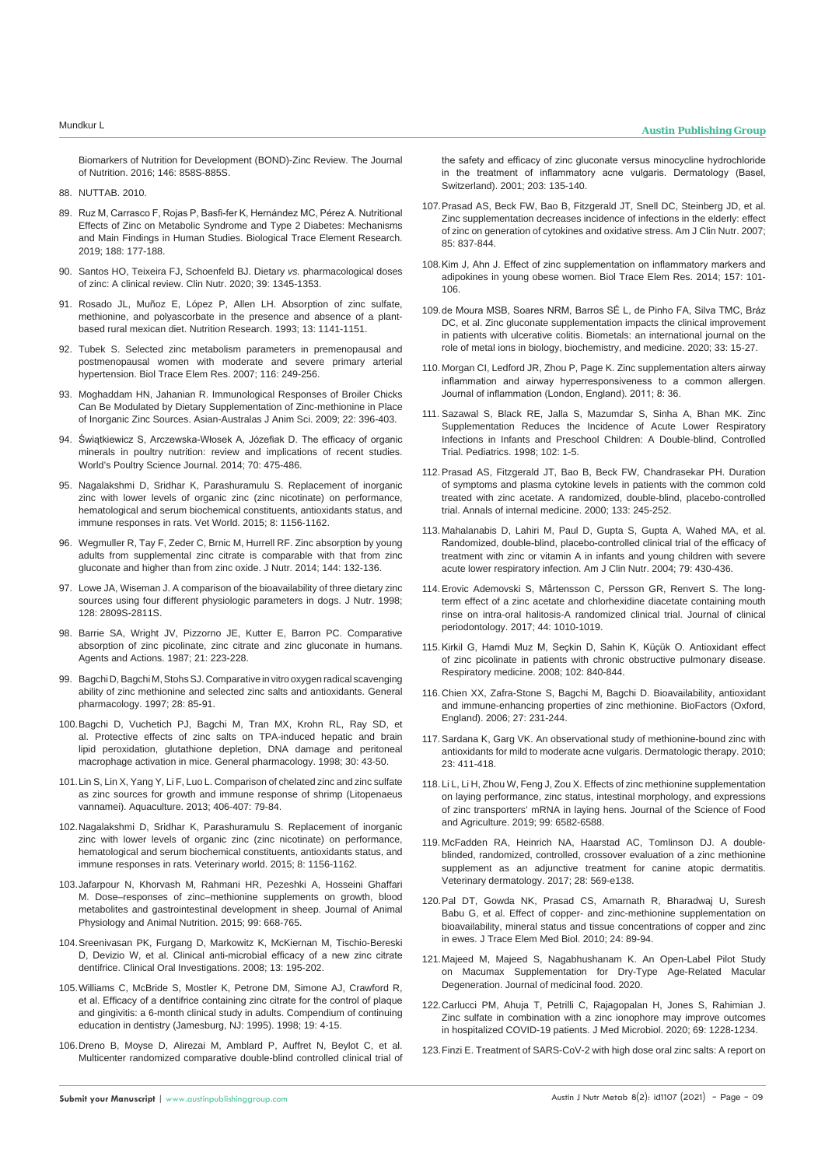[Biomarkers of Nutrition for Development \(BOND\)-Zinc Review. The Journal](https://pubmed.ncbi.nlm.nih.gov/26962190/)  [of Nutrition. 2016; 146: 858S-885S.](https://pubmed.ncbi.nlm.nih.gov/26962190/)

- 88. NUTTAB. 2010.
- 89. [Ruz M, Carrasco F, Rojas P, Basfi-fer K, Hernández MC, Pérez A. Nutritional](https://pubmed.ncbi.nlm.nih.gov/30600497/)  [Effects of Zinc on Metabolic Syndrome and Type 2 Diabetes: Mechanisms](https://pubmed.ncbi.nlm.nih.gov/30600497/)  [and Main Findings in Human Studies. Biological Trace Element Research.](https://pubmed.ncbi.nlm.nih.gov/30600497/)  [2019; 188: 177-188.](https://pubmed.ncbi.nlm.nih.gov/30600497/)
- 90. [Santos HO, Teixeira FJ, Schoenfeld BJ. Dietary](https://pubmed.ncbi.nlm.nih.gov/31303527/) *vs.* pharmacological doses [of zinc: A clinical review. Clin Nutr. 2020; 39: 1345-1353.](https://pubmed.ncbi.nlm.nih.gov/31303527/)
- 91. [Rosado JL, Muñoz E, López P, Allen LH. Absorption of zinc sulfate,](https://www.sciencedirect.com/science/article/abs/pii/S0271531705807389)  [methionine, and polyascorbate in the presence and absence of a plant](https://www.sciencedirect.com/science/article/abs/pii/S0271531705807389)[based rural mexican diet. Nutrition Research. 1993; 13: 1141-1151.](https://www.sciencedirect.com/science/article/abs/pii/S0271531705807389)
- 92. [Tubek S. Selected zinc metabolism parameters in premenopausal and](https://pubmed.ncbi.nlm.nih.gov/17709905/)  [postmenopausal women with moderate and severe primary arterial](https://pubmed.ncbi.nlm.nih.gov/17709905/)  [hypertension. Biol Trace Elem Res. 2007; 116: 249-256.](https://pubmed.ncbi.nlm.nih.gov/17709905/)
- 93. [Moghaddam HN, Jahanian R. Immunological Responses of Broiler Chicks](https://www.animbiosci.org/upload/pdf/22-53.pdf)  [Can Be Modulated by Dietary Supplementation of Zinc-methionine in Place](https://www.animbiosci.org/upload/pdf/22-53.pdf)  [of Inorganic Zinc Sources. Asian-Australas J Anim Sci. 2009; 22: 396-403.](https://www.animbiosci.org/upload/pdf/22-53.pdf)
- 94. [Świątkiewicz S, Arczewska-Włosek A, Józefiak D. The efficacy of organic](https://www.cambridge.org/core/journals/world-s-poultry-science-journal/article/abs/efficacy-of-organic-minerals-in-poultry-nutrition-review-and-implications-of-recent-studies/831E8E08564D15B4FEC4294D84F36A30)  [minerals in poultry nutrition: review and implications of recent studies.](https://www.cambridge.org/core/journals/world-s-poultry-science-journal/article/abs/efficacy-of-organic-minerals-in-poultry-nutrition-review-and-implications-of-recent-studies/831E8E08564D15B4FEC4294D84F36A30)  [World's Poultry Science Journal. 2014; 70: 475-486.](https://www.cambridge.org/core/journals/world-s-poultry-science-journal/article/abs/efficacy-of-organic-minerals-in-poultry-nutrition-review-and-implications-of-recent-studies/831E8E08564D15B4FEC4294D84F36A30)
- 95. [Nagalakshmi D, Sridhar K, Parashuramulu S. Replacement of inorganic](https://www.ncbi.nlm.nih.gov/pmc/articles/PMC4774787/)  [zinc with lower levels of organic zinc \(zinc nicotinate\) on performance,](https://www.ncbi.nlm.nih.gov/pmc/articles/PMC4774787/)  [hematological and serum biochemical constituents, antioxidants status, and](https://www.ncbi.nlm.nih.gov/pmc/articles/PMC4774787/)  [immune responses in rats. Vet World. 2015; 8: 1156-1162.](https://www.ncbi.nlm.nih.gov/pmc/articles/PMC4774787/)
- 96. [Wegmuller R, Tay F, Zeder C, Brnic M, Hurrell RF. Zinc absorption by young](https://pubmed.ncbi.nlm.nih.gov/24259556/)  [adults from supplemental zinc citrate is comparable with that from zinc](https://pubmed.ncbi.nlm.nih.gov/24259556/)  [gluconate and higher than from zinc oxide. J Nutr. 2014; 144: 132-136.](https://pubmed.ncbi.nlm.nih.gov/24259556/)
- 97. [Lowe JA, Wiseman J. A comparison of the bioavailability of three dietary zinc](https://pubmed.ncbi.nlm.nih.gov/9868274/)  [sources using four different physiologic parameters in dogs. J Nutr. 1998;](https://pubmed.ncbi.nlm.nih.gov/9868274/)  [128: 2809S-2811S.](https://pubmed.ncbi.nlm.nih.gov/9868274/)
- 98. [Barrie SA, Wright JV, Pizzorno JE, Kutter E, Barron PC. Comparative](https://pubmed.ncbi.nlm.nih.gov/3630857/)  [absorption of zinc picolinate, zinc citrate and zinc gluconate in humans.](https://pubmed.ncbi.nlm.nih.gov/3630857/)  [Agents and Actions. 1987; 21: 223-228.](https://pubmed.ncbi.nlm.nih.gov/3630857/)
- 99. [Bagchi D, Bagchi M, Stohs SJ. Comparative in vitro oxygen radical scavenging](https://pubmed.ncbi.nlm.nih.gov/9112082/)  [ability of zinc methionine and selected zinc salts and antioxidants. General](https://pubmed.ncbi.nlm.nih.gov/9112082/)  [pharmacology. 1997; 28: 85-91.](https://pubmed.ncbi.nlm.nih.gov/9112082/)
- 100.[Bagchi D, Vuchetich PJ, Bagchi M, Tran MX, Krohn RL, Ray SD, et](https://pubmed.ncbi.nlm.nih.gov/9457480/)  [al. Protective effects of zinc salts on TPA-induced hepatic and brain](https://pubmed.ncbi.nlm.nih.gov/9457480/)  [lipid peroxidation, glutathione depletion, DNA damage and peritoneal](https://pubmed.ncbi.nlm.nih.gov/9457480/)  [macrophage activation in mice. General pharmacology. 1998; 30: 43-50.](https://pubmed.ncbi.nlm.nih.gov/9457480/)
- 101.[Lin S, Lin X, Yang Y, Li F, Luo L. Comparison of chelated zinc and zinc sulfate](https://www.sciencedirect.com/science/article/pii/S0044848613002032)  [as zinc sources for growth and immune response of shrimp \(Litopenaeus](https://www.sciencedirect.com/science/article/pii/S0044848613002032)  [vannamei\). Aquaculture. 2013; 406-407: 79-84.](https://www.sciencedirect.com/science/article/pii/S0044848613002032)
- 102.[Nagalakshmi D, Sridhar K, Parashuramulu S. Replacement of inorganic](https://www.ncbi.nlm.nih.gov/pmc/articles/PMC4774787/)  [zinc with lower levels of organic zinc \(zinc nicotinate\) on performance,](https://www.ncbi.nlm.nih.gov/pmc/articles/PMC4774787/)  [hematological and serum biochemical constituents, antioxidants status, and](https://www.ncbi.nlm.nih.gov/pmc/articles/PMC4774787/)  [immune responses in rats. Veterinary world. 2015; 8: 1156-1162.](https://www.ncbi.nlm.nih.gov/pmc/articles/PMC4774787/)
- 103.[Jafarpour N, Khorvash M, Rahmani HR, Pezeshki A, Hosseini Ghaffari](https://pubmed.ncbi.nlm.nih.gov/25580958/)  [M. Dose–responses of zinc–methionine supplements on growth, blood](https://pubmed.ncbi.nlm.nih.gov/25580958/)  [metabolites and gastrointestinal development in sheep. Journal of Animal](https://pubmed.ncbi.nlm.nih.gov/25580958/)  [Physiology and Animal Nutrition. 2015; 99: 668-765.](https://pubmed.ncbi.nlm.nih.gov/25580958/)
- 104.[Sreenivasan PK, Furgang D, Markowitz K, McKiernan M, Tischio-Bereski](https://pubmed.ncbi.nlm.nih.gov/18850117/)  [D, Devizio W, et al. Clinical anti-microbial efficacy of a new zinc citrate](https://pubmed.ncbi.nlm.nih.gov/18850117/)  [dentifrice. Clinical Oral Investigations. 2008; 13: 195-202.](https://pubmed.ncbi.nlm.nih.gov/18850117/)
- 105.[Williams C, McBride S, Mostler K, Petrone DM, Simone AJ, Crawford R,](https://pubmed.ncbi.nlm.nih.gov/10371876/)  [et al. Efficacy of a dentifrice containing zinc citrate for the control of plaque](https://pubmed.ncbi.nlm.nih.gov/10371876/)  [and gingivitis: a 6-month clinical study in adults. Compendium of continuing](https://pubmed.ncbi.nlm.nih.gov/10371876/)  [education in dentistry \(Jamesburg, NJ: 1995\). 1998; 19: 4-15.](https://pubmed.ncbi.nlm.nih.gov/10371876/)
- 106.[Dreno B, Moyse D, Alirezai M, Amblard P, Auffret N, Beylot C, et al.](https://pubmed.ncbi.nlm.nih.gov/11586012/)  [Multicenter randomized comparative double-blind controlled clinical trial of](https://pubmed.ncbi.nlm.nih.gov/11586012/)

[the safety and efficacy of zinc gluconate versus minocycline hydrochloride](https://pubmed.ncbi.nlm.nih.gov/11586012/)  [in the treatment of inflammatory acne vulgaris. Dermatology \(Basel,](https://pubmed.ncbi.nlm.nih.gov/11586012/)  [Switzerland\). 2001; 203: 135-140.](https://pubmed.ncbi.nlm.nih.gov/11586012/)

- 107.[Prasad AS, Beck FW, Bao B, Fitzgerald JT, Snell DC, Steinberg JD, et al.](https://pubmed.ncbi.nlm.nih.gov/17344507/)  [Zinc supplementation decreases incidence of infections in the elderly: effect](https://pubmed.ncbi.nlm.nih.gov/17344507/)  [of zinc on generation of cytokines and oxidative stress. Am J Clin Nutr. 2007;](https://pubmed.ncbi.nlm.nih.gov/17344507/)  [85: 837-844.](https://pubmed.ncbi.nlm.nih.gov/17344507/)
- 108.[Kim J, Ahn J. Effect of zinc supplementation on inflammatory markers and](https://pubmed.ncbi.nlm.nih.gov/24402636/)  [adipokines in young obese women. Biol Trace Elem Res. 2014; 157: 101-](https://pubmed.ncbi.nlm.nih.gov/24402636/) [106.](https://pubmed.ncbi.nlm.nih.gov/24402636/)
- 109.[de Moura MSB, Soares NRM, Barros SÉ L, de Pinho FA, Silva TMC, Bráz](https://pubmed.ncbi.nlm.nih.gov/31956928/)  [DC, et al. Zinc gluconate supplementation impacts the clinical improvement](https://pubmed.ncbi.nlm.nih.gov/31956928/)  [in patients with ulcerative colitis. Biometals: an international journal on the](https://pubmed.ncbi.nlm.nih.gov/31956928/)  [role of metal ions in biology, biochemistry, and medicine. 2020; 33: 15-27.](https://pubmed.ncbi.nlm.nih.gov/31956928/)
- 110. [Morgan CI, Ledford JR, Zhou P, Page K. Zinc supplementation alters airway](https://pubmed.ncbi.nlm.nih.gov/22151973/)  [inflammation and airway hyperresponsiveness to a common allergen.](https://pubmed.ncbi.nlm.nih.gov/22151973/)  [Journal of inflammation \(London, England\). 2011; 8: 36.](https://pubmed.ncbi.nlm.nih.gov/22151973/)
- 111. [Sazawal S, Black RE, Jalla S, Mazumdar S, Sinha A, Bhan MK. Zinc](https://pubmed.ncbi.nlm.nih.gov/9651405/)  [Supplementation Reduces the Incidence of Acute Lower Respiratory](https://pubmed.ncbi.nlm.nih.gov/9651405/)  [Infections in Infants and Preschool Children: A Double-blind, Controlled](https://pubmed.ncbi.nlm.nih.gov/9651405/)  [Trial. Pediatrics. 1998; 102: 1-5.](https://pubmed.ncbi.nlm.nih.gov/9651405/)
- 112.[Prasad AS, Fitzgerald JT, Bao B, Beck FW, Chandrasekar PH. Duration](https://pubmed.ncbi.nlm.nih.gov/10929163/)  [of symptoms and plasma cytokine levels in patients with the common cold](https://pubmed.ncbi.nlm.nih.gov/10929163/)  [treated with zinc acetate. A randomized, double-blind, placebo-controlled](https://pubmed.ncbi.nlm.nih.gov/10929163/)  [trial. Annals of internal medicine. 2000; 133: 245-252.](https://pubmed.ncbi.nlm.nih.gov/10929163/)
- 113. [Mahalanabis D, Lahiri M, Paul D, Gupta S, Gupta A, Wahed MA, et al.](https://pubmed.ncbi.nlm.nih.gov/14985218/)  [Randomized, double-blind, placebo-controlled clinical trial of the efficacy of](https://pubmed.ncbi.nlm.nih.gov/14985218/)  [treatment with zinc or vitamin A in infants and young children with severe](https://pubmed.ncbi.nlm.nih.gov/14985218/)  [acute lower respiratory infection. Am J Clin Nutr. 2004; 79: 430-436.](https://pubmed.ncbi.nlm.nih.gov/14985218/)
- 114.[Erovic Ademovski S, Mårtensson C, Persson GR, Renvert S. The long](https://pubmed.ncbi.nlm.nih.gov/28727160/)[term effect of a zinc acetate and chlorhexidine diacetate containing mouth](https://pubmed.ncbi.nlm.nih.gov/28727160/)  [rinse on intra-oral halitosis-A randomized clinical trial. Journal of clinical](https://pubmed.ncbi.nlm.nih.gov/28727160/)  [periodontology. 2017; 44: 1010-1019.](https://pubmed.ncbi.nlm.nih.gov/28727160/)
- 115.[Kirkil G, Hamdi Muz M, Seçkin D, Sahin K, Küçük O. Antioxidant effect](https://www.sciencedirect.com/science/article/pii/S0954611108000425)  [of zinc picolinate in patients with chronic obstructive pulmonary disease.](https://www.sciencedirect.com/science/article/pii/S0954611108000425)  [Respiratory medicine. 2008; 102: 840-844.](https://www.sciencedirect.com/science/article/pii/S0954611108000425)
- 116. [Chien XX, Zafra-Stone S, Bagchi M, Bagchi D. Bioavailability, antioxidant](https://pubmed.ncbi.nlm.nih.gov/17012778/)  [and immune-enhancing properties of zinc methionine. BioFactors \(Oxford,](https://pubmed.ncbi.nlm.nih.gov/17012778/)  [England\). 2006; 27: 231-244.](https://pubmed.ncbi.nlm.nih.gov/17012778/)
- 117.[Sardana K, Garg VK. An observational study of methionine-bound zinc with](https://pubmed.ncbi.nlm.nih.gov/20666829/)  [antioxidants for mild to moderate acne vulgaris. Dermatologic therapy. 2010;](https://pubmed.ncbi.nlm.nih.gov/20666829/)  [23: 411-418.](https://pubmed.ncbi.nlm.nih.gov/20666829/)
- 118. [Li L, Li H, Zhou W, Feng J, Zou X. Effects of zinc methionine supplementation](https://pubmed.ncbi.nlm.nih.gov/31328268/)  [on laying performance, zinc status, intestinal morphology, and expressions](https://pubmed.ncbi.nlm.nih.gov/31328268/)  [of zinc transporters' mRNA in laying hens. Journal of the Science of Food](https://pubmed.ncbi.nlm.nih.gov/31328268/)  [and Agriculture. 2019; 99: 6582-6588.](https://pubmed.ncbi.nlm.nih.gov/31328268/)
- 119. [McFadden RA, Heinrich NA, Haarstad AC, Tomlinson DJ. A double](https://pubmed.ncbi.nlm.nih.gov/28736909/)[blinded, randomized, controlled, crossover evaluation of a zinc methionine](https://pubmed.ncbi.nlm.nih.gov/28736909/)  supplement as an adjunctive treatment for canine atopic dermatitis. [Veterinary dermatology. 2017; 28: 569-e138.](https://pubmed.ncbi.nlm.nih.gov/28736909/)
- 120.Pal DT, Gowda NK, Prasad CS, Amarnath R, Bharadwaj U, Suresh Babu G, et al. Effect of copper- and zinc-methionine supplementation on bioavailability, mineral status and tissue concentrations of copper and zinc in ewes. J Trace Elem Med Biol. 2010; 24: 89-94.
- 121.[Majeed M, Majeed S, Nagabhushanam K. An Open-Label Pilot Study](https://pubmed.ncbi.nlm.nih.gov/33180005/#:~:text=A 90%2Dday%2C open%2D,piperine)%2C extracts of bilberry%2C)  [on Macumax Supplementation for Dry-Type Age-Related Macular](https://pubmed.ncbi.nlm.nih.gov/33180005/#:~:text=A 90%2Dday%2C open%2D,piperine)%2C extracts of bilberry%2C)  [Degeneration. Journal of medicinal food. 2020.](https://pubmed.ncbi.nlm.nih.gov/33180005/#:~:text=A 90%2Dday%2C open%2D,piperine)%2C extracts of bilberry%2C)
- 122.[Carlucci PM, Ahuja T, Petrilli C, Rajagopalan H, Jones S, Rahimian J.](https://pubmed.ncbi.nlm.nih.gov/32930657/)  [Zinc sulfate in combination with a zinc ionophore may improve outcomes](https://pubmed.ncbi.nlm.nih.gov/32930657/)  [in hospitalized COVID-19 patients. J Med Microbiol. 2020; 69: 1228-1234.](https://pubmed.ncbi.nlm.nih.gov/32930657/)
- 123.[Finzi E. Treatment of SARS-CoV-2 with high dose oral zinc salts: A report on](https://pubmed.ncbi.nlm.nih.gov/32522597/)